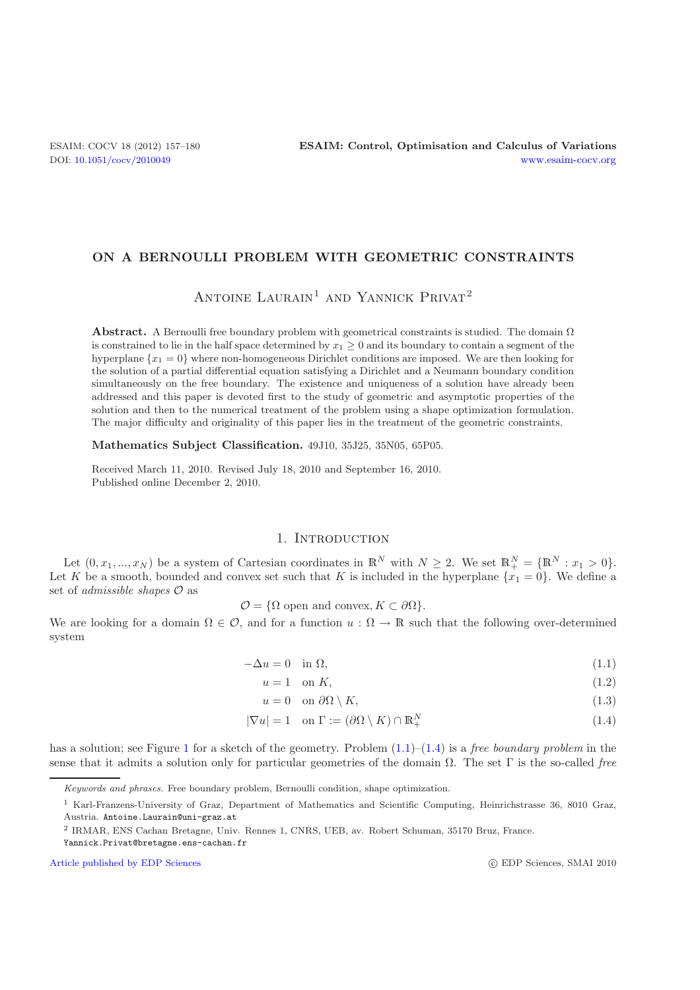### **ON A BERNOULLI PROBLEM WITH GEOMETRIC CONSTRAINTS**

ANTOINE LAURAIN<sup>1</sup> AND YANNICK PRIVAT<sup>2</sup>

**Abstract.** A Bernoulli free boundary problem with geometrical constraints is studied. The domain  $\Omega$ is constrained to lie in the half space determined by  $x_1 \geq 0$  and its boundary to contain a segment of the hyperplane  ${x_1 = 0}$  where non-homogeneous Dirichlet conditions are imposed. We are then looking for the solution of a partial differential equation satisfying a Dirichlet and a Neumann boundary condition simultaneously on the free boundary. The existence and uniqueness of a solution have already been addressed and this paper is devoted first to the study of geometric and asymptotic properties of the solution and then to the numerical treatment of the problem using a shape optimization formulation. The major difficulty and originality of this paper lies in the treatment of the geometric constraints.

**Mathematics Subject Classification.** 49J10, 35J25, 35N05, 65P05.

Received March 11, 2010. Revised July 18, 2010 and September 16, 2010. Published online December 2, 2010.

### 1. INTRODUCTION

Let  $(0, x_1, ..., x_N)$  be a system of Cartesian coordinates in  $\mathbb{R}^N$  with  $N \geq 2$ . We set  $\mathbb{R}^N_+ = {\mathbb{R}^N : x_1 > 0}$ . Let K be a smooth, bounded and convex set such that K is included in the hyperplane  $\{x_1 = 0\}$ . We define a set of *admissible shapes* O as

 $\mathcal{O} = \{ \Omega \text{ open and convex}, K \subset \partial \Omega \}.$ 

We are looking for a domain  $\Omega \in \mathcal{O}$ , and for a function  $u : \Omega \to \mathbb{R}$  such that the following over-determined system

 $-\Delta u = 0$  in  $\Omega$ , (1.1)

<span id="page-0-2"></span><span id="page-0-1"></span><span id="page-0-0"></span> $u = 1$  on K, (1.2)

$$
u = 0 \quad \text{on } \partial\Omega \setminus K,\tag{1.3}
$$

$$
|\nabla u| = 1 \quad \text{on } \Gamma := (\partial \Omega \setminus K) \cap \mathbb{R}^N_+ \tag{1.4}
$$

has a solution; see Figure [1](#page-1-0) for a sketch of the geometry. Problem [\(1.1\)](#page-0-0)–[\(1.4\)](#page-0-1) is a *free boundary problem* in the sense that it admits a solution only for particular geometries of the domain Ω. The set Γ is the so-called *free*

Yannick.Privat@bretagne.ens-cachan.fr

[Article published by EDP Sciences](http://www.edpsciences.org)

Keywords and phrases. Free boundary problem, Bernoulli condition, shape optimization.

<sup>&</sup>lt;sup>1</sup> Karl-Franzens-University of Graz, Department of Mathematics and Scientific Computing, Heinrichstrasse 36, 8010 Graz, Austria. Antoine.Laurain@uni-graz.at

<sup>2</sup> IRMAR, ENS Cachan Bretagne, Univ. Rennes 1, CNRS, UEB, av. Robert Schuman, 35170 Bruz, France.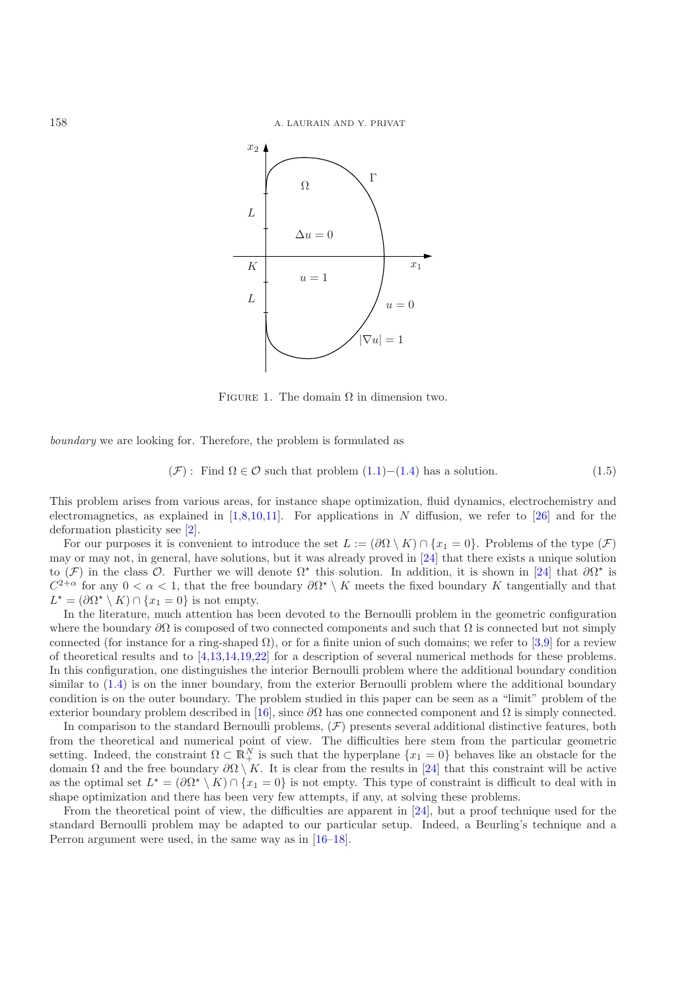

<span id="page-1-0"></span>FIGURE 1. The domain  $\Omega$  in dimension two.

*boundary* we are looking for. Therefore, the problem is formulated as

$$
(\mathcal{F}): \text{ Find } \Omega \in \mathcal{O} \text{ such that problem } (1.1) - (1.4) \text{ has a solution.} \tag{1.5}
$$

This problem arises from various areas, for instance shape optimization, fluid dynamics, electrochemistry and electromagnetics, as explained in  $[1,8,10,11]$  $[1,8,10,11]$  $[1,8,10,11]$  $[1,8,10,11]$ . For applications in N diffusion, we refer to  $[26]$  $[26]$  and for the deformation plasticity see [\[2\]](#page-23-5).

For our purposes it is convenient to introduce the set  $L := (\partial \Omega \setminus K) \cap \{x_1 = 0\}$ . Problems of the type  $(\mathcal{F})$ may or may not, in general, have solutions, but it was already proved in [\[24\]](#page-23-6) that there exists a unique solution to  $(\mathcal{F})$  in the class  $\mathcal{O}$ . Further we will denote  $\Omega^*$  this solution. In addition, it is shown in [\[24](#page-23-6)] that  $\partial\Omega^*$  is  $C^{2+\alpha}$  for any  $0 < \alpha < 1$ , that the free boundary  $\partial \Omega^* \setminus K$  meets the fixed boundary K tangentially and that  $L^* = (\partial \Omega^* \setminus K) \cap \{x_1 = 0\}$  is not empty.

In the literature, much attention has been devoted to the Bernoulli problem in the geometric configuration where the boundary  $\partial\Omega$  is composed of two connected components and such that  $\Omega$  is connected but not simply connected (for instance for a ring-shaped  $\Omega$ ), or for a finite union of such domains; we refer to [\[3](#page-23-7)[,9](#page-23-8)] for a review of theoretical results and to [\[4](#page-23-9)[,13](#page-23-10)[,14](#page-23-11)[,19](#page-23-12)[,22\]](#page-23-13) for a description of several numerical methods for these problems. In this configuration, one distinguishes the interior Bernoulli problem where the additional boundary condition similar to [\(1.4\)](#page-0-1) is on the inner boundary, from the exterior Bernoulli problem where the additional boundary condition is on the outer boundary. The problem studied in this paper can be seen as a "limit" problem of the exterior boundary problem described in [\[16\]](#page-23-14), since  $\partial\Omega$  has one connected component and  $\Omega$  is simply connected.

In comparison to the standard Bernoulli problems,  $(F)$  presents several additional distinctive features, both from the theoretical and numerical point of view. The difficulties here stem from the particular geometric setting. Indeed, the constraint  $\Omega \subset \mathbb{R}^N_+$  is such that the hyperplane  $\{x_1 = 0\}$  behaves like an obstacle for the domain  $\Omega$  and the free boundary  $\partial\Omega \setminus K$ . It is clear from the results in [\[24](#page-23-6)] that this constraint will be active as the optimal set  $L^* = (\partial \Omega^* \setminus K) \cap \{x_1 = 0\}$  is not empty. This type of constraint is difficult to deal with in shape optimization and there has been very few attempts, if any, at solving these problems.

From the theoretical point of view, the difficulties are apparent in [\[24\]](#page-23-6), but a proof technique used for the standard Bernoulli problem may be adapted to our particular setup. Indeed, a Beurling's technique and a Perron argument were used, in the same way as in [\[16](#page-23-14)[–18](#page-23-15)].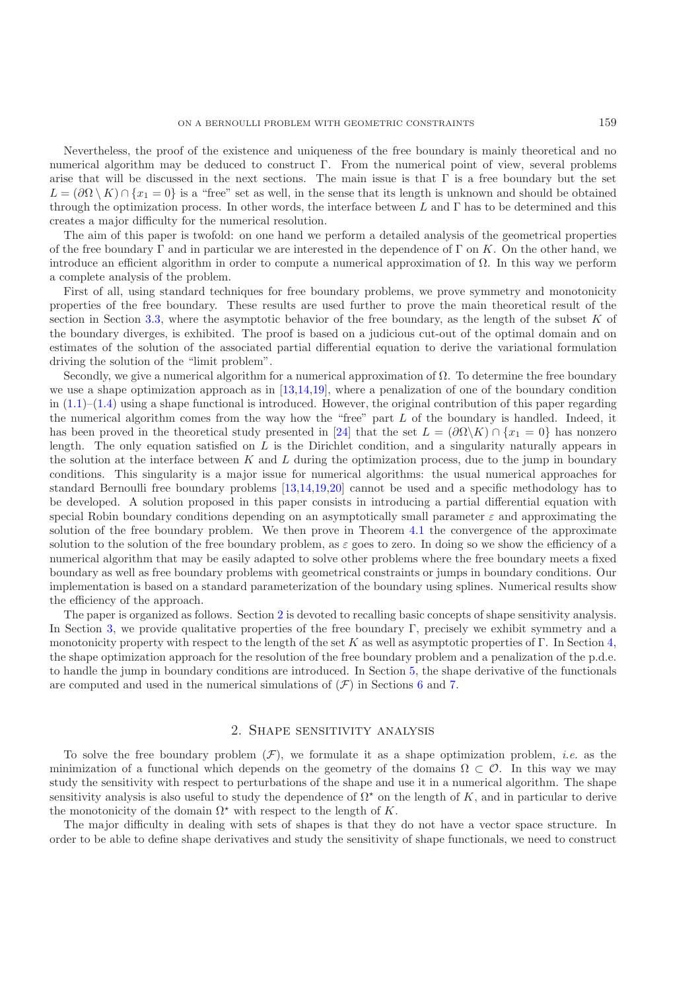Nevertheless, the proof of the existence and uniqueness of the free boundary is mainly theoretical and no numerical algorithm may be deduced to construct Γ. From the numerical point of view, several problems arise that will be discussed in the next sections. The main issue is that  $\Gamma$  is a free boundary but the set  $L = (\partial \Omega \setminus K) \cap \{x_1 = 0\}$  is a "free" set as well, in the sense that its length is unknown and should be obtained through the optimization process. In other words, the interface between L and  $\Gamma$  has to be determined and this creates a major difficulty for the numerical resolution.

The aim of this paper is twofold: on one hand we perform a detailed analysis of the geometrical properties of the free boundary Γ and in particular we are interested in the dependence of Γ on K. On the other hand, we introduce an efficient algorithm in order to compute a numerical approximation of  $\Omega$ . In this way we perform a complete analysis of the problem.

First of all, using standard techniques for free boundary problems, we prove symmetry and monotonicity properties of the free boundary. These results are used further to prove the main theoretical result of the section in Section [3.3,](#page-5-0) where the asymptotic behavior of the free boundary, as the length of the subset  $K$  of the boundary diverges, is exhibited. The proof is based on a judicious cut-out of the optimal domain and on estimates of the solution of the associated partial differential equation to derive the variational formulation driving the solution of the "limit problem".

Secondly, we give a numerical algorithm for a numerical approximation of Ω. To determine the free boundary we use a shape optimization approach as in [\[13](#page-23-10)[,14](#page-23-11)[,19\]](#page-23-12), where a penalization of one of the boundary condition in  $(1.1)$ – $(1.4)$  using a shape functional is introduced. However, the original contribution of this paper regarding the numerical algorithm comes from the way how the "free" part  $L$  of the boundary is handled. Indeed, it has been proved in the theoretical study presented in [\[24\]](#page-23-6) that the set  $L = (\partial \Omega \backslash K) \cap \{x_1 = 0\}$  has nonzero length. The only equation satisfied on  $L$  is the Dirichlet condition, and a singularity naturally appears in the solution at the interface between  $K$  and  $L$  during the optimization process, due to the jump in boundary conditions. This singularity is a major issue for numerical algorithms: the usual numerical approaches for standard Bernoulli free boundary problems [\[13](#page-23-10)[,14](#page-23-11)[,19](#page-23-12)[,20](#page-23-16)] cannot be used and a specific methodology has to be developed. A solution proposed in this paper consists in introducing a partial differential equation with special Robin boundary conditions depending on an asymptotically small parameter  $\varepsilon$  and approximating the solution of the free boundary problem. We then prove in Theorem [4.1](#page-15-0) the convergence of the approximate solution to the solution of the free boundary problem, as  $\varepsilon$  goes to zero. In doing so we show the efficiency of a numerical algorithm that may be easily adapted to solve other problems where the free boundary meets a fixed boundary as well as free boundary problems with geometrical constraints or jumps in boundary conditions. Our implementation is based on a standard parameterization of the boundary using splines. Numerical results show the efficiency of the approach.

The paper is organized as follows. Section [2](#page-2-0) is devoted to recalling basic concepts of shape sensitivity analysis. In Section [3,](#page-4-0) we provide qualitative properties of the free boundary Γ, precisely we exhibit symmetry and a monotonicity property with respect to the length of the set K as well as asymptotic properties of Γ. In Section [4,](#page-10-0) the shape optimization approach for the resolution of the free boundary problem and a penalization of the p.d.e. to handle the jump in boundary conditions are introduced. In Section [5,](#page-15-1) the shape derivative of the functionals are computed and used in the numerical simulations of  $(\mathcal{F})$  in Sections [6](#page-17-0) and [7.](#page-21-0)

## 2. Shape sensitivity analysis

<span id="page-2-0"></span>To solve the free boundary problem  $(F)$ , we formulate it as a shape optimization problem, *i.e.* as the minimization of a functional which depends on the geometry of the domains  $\Omega \subset \mathcal{O}$ . In this way we may study the sensitivity with respect to perturbations of the shape and use it in a numerical algorithm. The shape sensitivity analysis is also useful to study the dependence of  $\Omega^*$  on the length of K, and in particular to derive the monotonicity of the domain  $\Omega^*$  with respect to the length of K.

The major difficulty in dealing with sets of shapes is that they do not have a vector space structure. In order to be able to define shape derivatives and study the sensitivity of shape functionals, we need to construct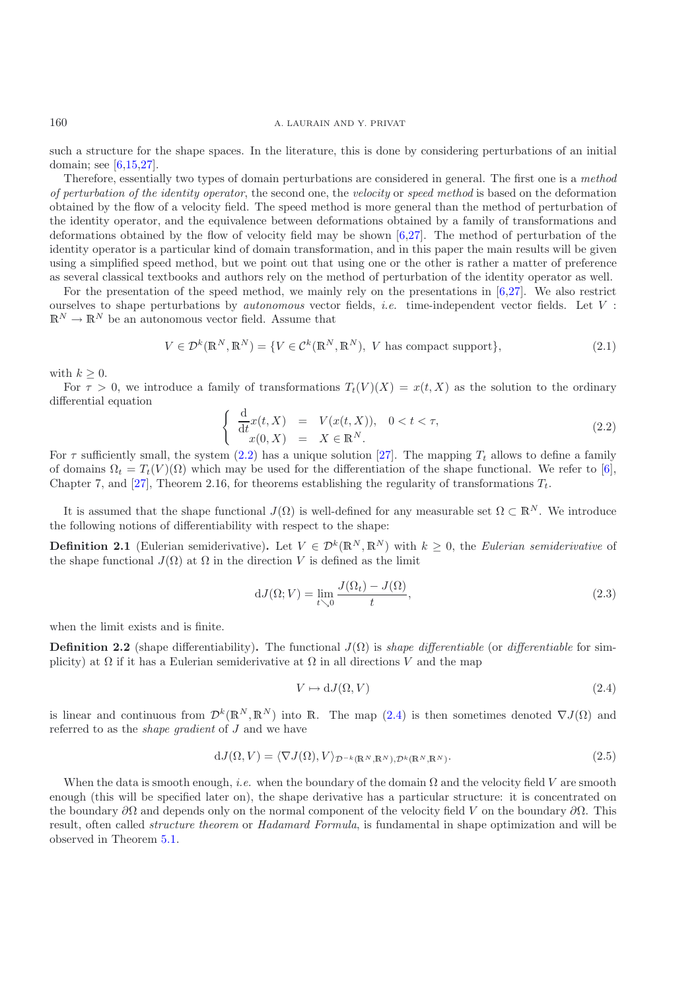### 160 A. LAURAIN AND Y. PRIVAT

such a structure for the shape spaces. In the literature, this is done by considering perturbations of an initial domain; see [\[6](#page-23-17)[,15](#page-23-18)[,27\]](#page-23-19).

Therefore, essentially two types of domain perturbations are considered in general. The first one is a *method of perturbation of the identity operator*, the second one, the *velocity* or *speed method* is based on the deformation obtained by the flow of a velocity field. The speed method is more general than the method of perturbation of the identity operator, and the equivalence between deformations obtained by a family of transformations and deformations obtained by the flow of velocity field may be shown [\[6](#page-23-17)[,27](#page-23-19)]. The method of perturbation of the identity operator is a particular kind of domain transformation, and in this paper the main results will be given using a simplified speed method, but we point out that using one or the other is rather a matter of preference as several classical textbooks and authors rely on the method of perturbation of the identity operator as well.

For the presentation of the speed method, we mainly rely on the presentations in  $[6,27]$  $[6,27]$  $[6,27]$ . We also restrict ourselves to shape perturbations by *autonomous* vector fields, *i.e.* time-independent vector fields. Let V :  $\mathbb{R}^N\to\mathbb{R}^N$  be an autonomous vector field. Assume that

<span id="page-3-0"></span>
$$
V \in \mathcal{D}^k(\mathbb{R}^N, \mathbb{R}^N) = \{ V \in \mathcal{C}^k(\mathbb{R}^N, \mathbb{R}^N), V \text{ has compact support} \},\tag{2.1}
$$

with  $k \geq 0$ .

For  $\tau > 0$ , we introduce a family of transformations  $T_t(V)(X) = x(t, X)$  as the solution to the ordinary differential equation

$$
\begin{cases}\n\frac{\mathrm{d}}{\mathrm{d}t}x(t,X) = V(x(t,X)), & 0 < t < \tau, \\
x(0,X) = X \in \mathbb{R}^N.\n\end{cases} \tag{2.2}
$$

For  $\tau$  sufficiently small, the system [\(2.2\)](#page-3-0) has a unique solution [\[27](#page-23-19)]. The mapping  $T_t$  allows to define a family of domains  $\Omega_t = T_t(V)(\Omega)$  which may be used for the differentiation of the shape functional. We refer to [\[6\]](#page-23-17), Chapter 7, and [\[27](#page-23-19)], Theorem 2.16, for theorems establishing the regularity of transformations  $T_t$ .

It is assumed that the shape functional  $J(\Omega)$  is well-defined for any measurable set  $\Omega \subset \mathbb{R}^N$ . We introduce the following notions of differentiability with respect to the shape:

**Definition 2.1** (Eulerian semiderivative). Let  $V \in \mathcal{D}^k(\mathbb{R}^N, \mathbb{R}^N)$  with  $k \geq 0$ , the *Eulerian semiderivative* of the shape functional  $J(\Omega)$  at  $\Omega$  in the direction V is defined as the limit

$$
dJ(\Omega;V) = \lim_{t \searrow 0} \frac{J(\Omega_t) - J(\Omega)}{t},\tag{2.3}
$$

when the limit exists and is finite.

**Definition 2.2** (shape differentiability). The functional  $J(\Omega)$  is *shape differentiable* (or *differentiable* for simplicity) at  $\Omega$  if it has a Eulerian semiderivative at  $\Omega$  in all directions V and the map

$$
V \mapsto dJ(\Omega, V) \tag{2.4}
$$

is linear and continuous from  $\mathcal{D}^k(\mathbb{R}^N,\mathbb{R}^N)$  into  $\mathbb{R}$ . The map [\(2.4\)](#page-3-1) is then sometimes denoted  $\nabla J(\Omega)$  and referred to as the *shape gradient* of J and we have

<span id="page-3-1"></span>
$$
dJ(\Omega, V) = \langle \nabla J(\Omega), V \rangle_{\mathcal{D}^{-k}(\mathbb{R}^N, \mathbb{R}^N), \mathcal{D}^k(\mathbb{R}^N, \mathbb{R}^N)}.
$$
\n(2.5)

When the data is smooth enough, *i.e.* when the boundary of the domain  $\Omega$  and the velocity field V are smooth enough (this will be specified later on), the shape derivative has a particular structure: it is concentrated on the boundary  $\partial\Omega$  and depends only on the normal component of the velocity field V on the boundary  $\partial\Omega$ . This result, often called *structure theorem* or *Hadamard Formula*, is fundamental in shape optimization and will be observed in Theorem [5.1.](#page-15-2)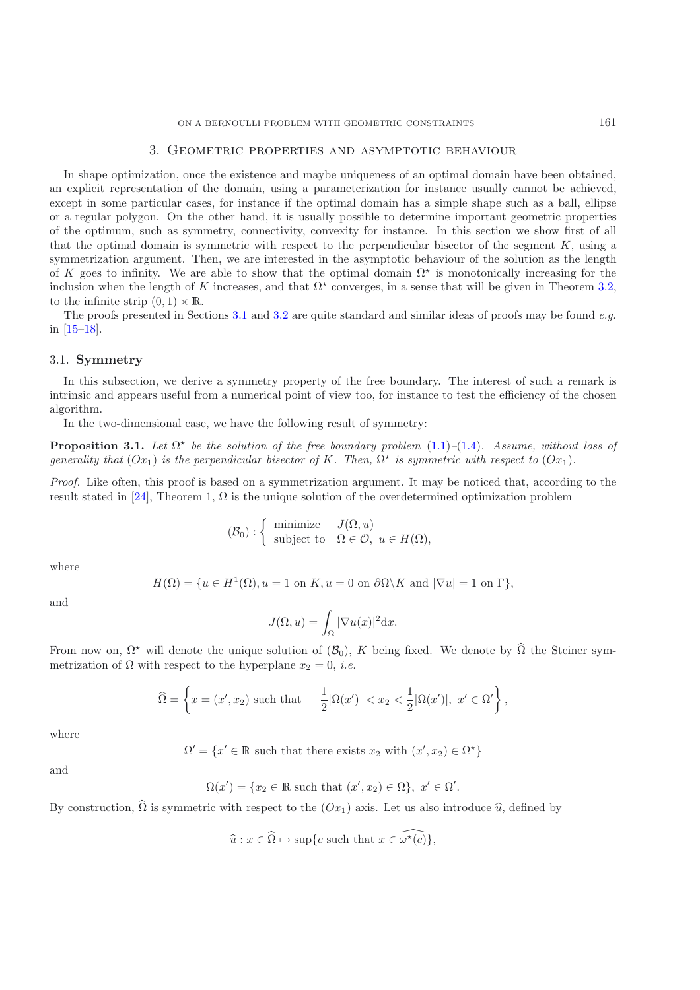#### 3. Geometric properties and asymptotic behaviour

<span id="page-4-0"></span>In shape optimization, once the existence and maybe uniqueness of an optimal domain have been obtained, an explicit representation of the domain, using a parameterization for instance usually cannot be achieved, except in some particular cases, for instance if the optimal domain has a simple shape such as a ball, ellipse or a regular polygon. On the other hand, it is usually possible to determine important geometric properties of the optimum, such as symmetry, connectivity, convexity for instance. In this section we show first of all that the optimal domain is symmetric with respect to the perpendicular bisector of the segment  $K$ , using a symmetrization argument. Then, we are interested in the asymptotic behaviour of the solution as the length of K goes to infinity. We are able to show that the optimal domain  $\Omega^*$  is monotonically increasing for the inclusion when the length of K increases, and that  $\Omega^*$  converges, in a sense that will be given in Theorem [3.2,](#page-6-0) to the infinite strip  $(0, 1) \times \mathbb{R}$ .

The proofs presented in Sections [3.1](#page-4-1) and [3.2](#page-5-1) are quite standard and similar ideas of proofs may be found *e.g.* in [\[15–](#page-23-18)[18\]](#page-23-15).

# <span id="page-4-1"></span>3.1. **Symmetry**

In this subsection, we derive a symmetry property of the free boundary. The interest of such a remark is intrinsic and appears useful from a numerical point of view too, for instance to test the efficiency of the chosen algorithm.

In the two-dimensional case, we have the following result of symmetry:

**Proposition 3.1.** Let  $\Omega^*$  be the solution of the free boundary problem  $(1.1)$ – $(1.4)$ *.* Assume, without loss of *generality that*  $(Ox_1)$  *is the perpendicular bisector of* K. Then,  $\Omega^*$  *is symmetric with respect to*  $(Ox_1)$ *.* 

*Proof.* Like often, this proof is based on a symmetrization argument. It may be noticed that, according to the result stated in [\[24](#page-23-6)], Theorem 1,  $\Omega$  is the unique solution of the overdetermined optimization problem

$$
(\mathcal{B}_0) : \left\{ \begin{array}{ll}\text{minimize} & J(\Omega, u) \\ \text{subject to} & \Omega \in \mathcal{O}, \ u \in H(\Omega), \end{array} \right.
$$

where

$$
H(\Omega) = \{ u \in H^1(\Omega), u = 1 \text{ on } K, u = 0 \text{ on } \partial\Omega \setminus K \text{ and } |\nabla u| = 1 \text{ on } \Gamma \},
$$

and

$$
J(\Omega, u) = \int_{\Omega} |\nabla u(x)|^2 \mathrm{d}x.
$$

From now on,  $\Omega^*$  will denote the unique solution of  $(\mathcal{B}_0)$ , K being fixed. We denote by  $\Omega$  the Steiner symmetrization of  $\Omega$  with respect to the hyperplane  $x_2 = 0$ , *i.e.* 

$$
\widehat{\Omega} = \left\{ x = (x', x_2) \text{ such that } -\frac{1}{2} |\Omega(x')| < x_2 < \frac{1}{2} |\Omega(x')|, \ x' \in \Omega' \right\},
$$

where

 $\Omega' = \{x' \in \mathbb{R} \text{ such that there exists } x_2 \text{ with } (x', x_2) \in \Omega^{\star}\}\$ 

and

$$
\Omega(x') = \{ x_2 \in \mathbb{R} \text{ such that } (x', x_2) \in \Omega \}, \ x' \in \Omega'.
$$

By construction,  $\widehat{\Omega}$  is symmetric with respect to the  $( Ox_1 )$  axis. Let us also introduce  $\widehat{u}$ , defined by

$$
\widehat{u}: x \in \widehat{\Omega} \mapsto \sup\{c \text{ such that } x \in \widehat{\omega^{\star}(c)}\},\
$$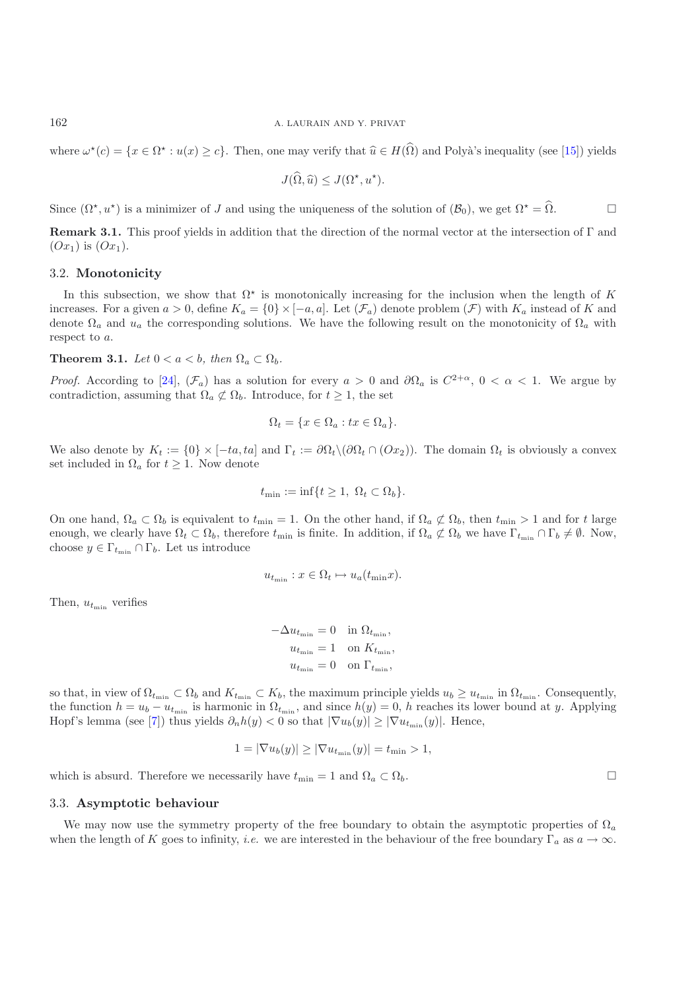where  $\omega^*(c) = \{x \in \Omega^* : u(x) \ge c\}$ . Then, one may verify that  $\widehat{u} \in H(\widehat{\Omega})$  and Polyà's inequality (see [\[15\]](#page-23-18)) yields

$$
J(\widehat{\Omega}, \widehat{u}) \le J(\Omega^\star, u^\star).
$$

Since  $(\Omega^*, u^*)$  is a minimizer of J and using the uniqueness of the solution of  $(\mathcal{B}_0)$ , we get  $\Omega^* = \Omega$ .

**Remark 3.1.** This proof yields in addition that the direction of the normal vector at the intersection of Γ and  $(Ox_1)$  is  $(Ox_1)$ .

#### <span id="page-5-1"></span>3.2. **Monotonicity**

In this subsection, we show that  $\Omega^*$  is monotonically increasing for the inclusion when the length of K increases. For a given  $a > 0$ , define  $K_a = \{0\} \times [-a, a]$ . Let  $(\mathcal{F}_a)$  denote problem  $(\mathcal{F})$  with  $K_a$  instead of K and denote  $\Omega_a$  and  $u_a$  the corresponding solutions. We have the following result on the monotonicity of  $\Omega_a$  with respect to a.

<span id="page-5-2"></span>**Theorem 3.1.** *Let*  $0 < a < b$ , *then*  $\Omega_a \subset \Omega_b$ *.* 

*Proof.* According to [\[24\]](#page-23-6),  $(\mathcal{F}_a)$  has a solution for every  $a > 0$  and  $\partial\Omega_a$  is  $C^{2+\alpha}$ ,  $0 < \alpha < 1$ . We argue by contradiction, assuming that  $\Omega_a \not\subset \Omega_b$ . Introduce, for  $t \geq 1$ , the set

$$
\Omega_t = \{ x \in \Omega_a : tx \in \Omega_a \}.
$$

We also denote by  $K_t := \{0\} \times [-ta, ta]$  and  $\Gamma_t := \partial \Omega_t \setminus (\partial \Omega_t \cap (Ox_2))$ . The domain  $\Omega_t$  is obviously a convex set included in  $\Omega_a$  for  $t \geq 1$ . Now denote

$$
t_{\min} := \inf\{t \ge 1, \ \Omega_t \subset \Omega_b\}.
$$

On one hand,  $\Omega_a \subset \Omega_b$  is equivalent to  $t_{\min} = 1$ . On the other hand, if  $\Omega_a \not\subset \Omega_b$ , then  $t_{\min} > 1$  and for t large enough, we clearly have  $\Omega_t \subset \Omega_b$ , therefore  $t_{\min}$  is finite. In addition, if  $\Omega_a \not\subset \Omega_b$  we have  $\Gamma_{t_{\min}} \cap \Gamma_b \neq \emptyset$ . Now, choose  $y \in \Gamma_{t_{\min}} \cap \Gamma_b$ . Let us introduce

$$
u_{t_{\min}}: x \in \Omega_t \mapsto u_a(t_{\min}x).
$$

Then,  $u_{t_{\min}}$  verifies

$$
-\Delta u_{t_{\min}} = 0 \quad \text{in } \Omega_{t_{\min}},
$$

$$
u_{t_{\min}} = 1 \quad \text{on } K_{t_{\min}},
$$

$$
u_{t_{\min}} = 0 \quad \text{on } \Gamma_{t_{\min}},
$$

so that, in view of  $\Omega_{t_{\min}} \subset \Omega_b$  and  $K_{t_{\min}} \subset K_b$ , the maximum principle yields  $u_b \geq u_{t_{\min}}$  in  $\Omega_{t_{\min}}$ . Consequently, the function  $h = u_b - u_{t_{\min}}$  is harmonic in  $\Omega_{t_{\min}}$ , and since  $h(y) = 0$ , h reaches its lower bound at y. Applying Hopf's lemma (see [\[7\]](#page-23-20)) thus yields  $\partial_n h(y) < 0$  so that  $|\nabla u_b(y)| \geq |\nabla u_{t_{\min}}(y)|$ . Hence,

$$
1 = |\nabla u_b(y)| \ge |\nabla u_{t_{\min}}(y)| = t_{\min} > 1,
$$

 $\Box$ 

which is absurd. Therefore we necessarily have  $t_{\min} = 1$  and  $\Omega_a \subset \Omega_b$ .

#### <span id="page-5-0"></span>3.3. **Asymptotic behaviour**

We may now use the symmetry property of the free boundary to obtain the asymptotic properties of  $\Omega_a$ when the length of K goes to infinity, *i.e.* we are interested in the behaviour of the free boundary  $\Gamma_a$  as  $a \to \infty$ .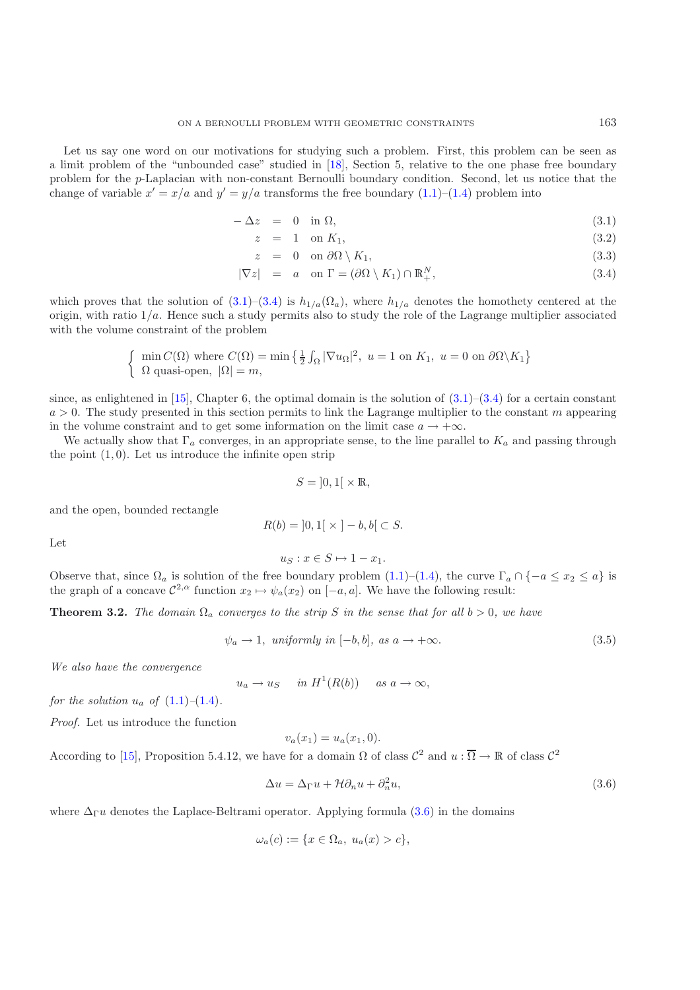Let us say one word on our motivations for studying such a problem. First, this problem can be seen as a limit problem of the "unbounded case" studied in [\[18](#page-23-15)], Section 5, relative to the one phase free boundary problem for the p-Laplacian with non-constant Bernoulli boundary condition. Second, let us notice that the change of variable  $x' = x/a$  and  $y' = y/a$  transforms the free boundary [\(1.1\)](#page-0-0)–[\(1.4\)](#page-0-1) problem into

<span id="page-6-1"></span>
$$
-\Delta z = 0 \quad \text{in } \Omega,\tag{3.1}
$$

$$
z = 1 \quad \text{on } K_1,\tag{3.2}
$$

$$
z = 0 \quad \text{on } \partial\Omega \setminus K_1,\tag{3.3}
$$

$$
|\nabla z| = a \quad \text{on } \Gamma = (\partial \Omega \setminus K_1) \cap \mathbb{R}_+^N, \tag{3.4}
$$

which proves that the solution of  $(3.1)$ – $(3.4)$  is  $h_{1/a}(\Omega_a)$ , where  $h_{1/a}$  denotes the homothety centered at the origin, with ratio  $1/a$ . Hence such a study permits also to study the role of the Lagrange multiplier associated with the volume constraint of the problem

$$
\begin{cases} \min C(\Omega) \text{ where } C(\Omega) = \min \left\{ \frac{1}{2} \int_{\Omega} |\nabla u_{\Omega}|^2, u = 1 \text{ on } K_1, u = 0 \text{ on } \partial \Omega \backslash K_1 \right\} \\ \Omega \text{ quasi-open, } |\Omega| = m, \end{cases}
$$

since, as enlightened in  $[15]$  $[15]$ , Chapter 6, the optimal domain is the solution of  $(3.1)$ – $(3.4)$  for a certain constant  $a > 0$ . The study presented in this section permits to link the Lagrange multiplier to the constant m appearing in the volume constraint and to get some information on the limit case  $a \to +\infty$ .

We actually show that  $\Gamma_a$  converges, in an appropriate sense, to the line parallel to  $K_a$  and passing through the point  $(1, 0)$ . Let us introduce the infinite open strip

$$
S = \left]0,1\right[ \times \mathbb{R},
$$

and the open, bounded rectangle

$$
R(b) = \left]0, 1\right[ \times \left] -b, b\right[ \subset S.
$$

Let

$$
u_S: x \in S \mapsto 1 - x_1.
$$

<span id="page-6-0"></span>Observe that, since  $\Omega_a$  is solution of the free boundary problem [\(1.1\)](#page-0-0)–[\(1.4\)](#page-0-1), the curve  $\Gamma_a \cap \{-a \le x_2 \le a\}$  is the graph of a concave  $\mathcal{C}^{2,\alpha}$  function  $x_2 \mapsto \psi_a(x_2)$  on  $[-a, a]$ . We have the following result:

**Theorem 3.2.** *The domain*  $\Omega_a$  *converges to the strip* S *in the sense that for all*  $b > 0$ *, we have* 

$$
\psi_a \to 1, \text{ uniformly in } [-b, b], \text{ as } a \to +\infty. \tag{3.5}
$$

*We also have the convergence*

$$
u_a \to u_S \quad in \ H^1(R(b)) \quad as \ a \to \infty,
$$

*for the solution*  $u_a$  *of*  $(1.1)–(1.4)$  $(1.1)–(1.4)$  $(1.1)–(1.4)$ *.* 

*Proof.* Let us introduce the function

$$
v_a(x_1) = u_a(x_1, 0).
$$

According to [\[15](#page-23-18)], Proposition 5.4.12, we have for a domain  $\Omega$  of class  $\mathcal{C}^2$  and  $u : \overline{\Omega} \to \mathbb{R}$  of class  $\mathcal{C}^2$ 

<span id="page-6-2"></span>
$$
\Delta u = \Delta_{\Gamma} u + \mathcal{H} \partial_n u + \partial_n^2 u,\tag{3.6}
$$

where  $\Delta_{\Gamma} u$  denotes the Laplace-Beltrami operator. Applying formula [\(3.6\)](#page-6-2) in the domains

$$
\omega_a(c) := \{ x \in \Omega_a, \ u_a(x) > c \},
$$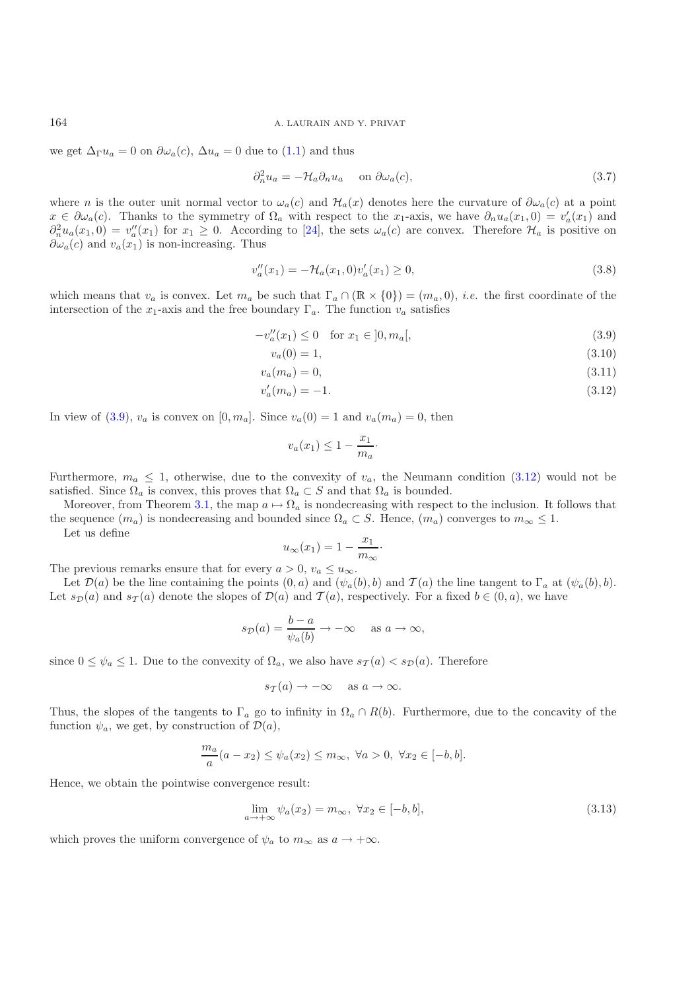we get  $\Delta_{\Gamma} u_a = 0$  on  $\partial \omega_a(c)$ ,  $\Delta u_a = 0$  due to [\(1.1\)](#page-0-0) and thus

$$
\partial_n^2 u_a = -\mathcal{H}_a \partial_n u_a \quad \text{on } \partial \omega_a(c), \tag{3.7}
$$

where n is the outer unit normal vector to  $\omega_a(c)$  and  $\mathcal{H}_a(x)$  denotes here the curvature of  $\partial \omega_a(c)$  at a point  $x \in \partial \omega_a(c)$ . Thanks to the symmetry of  $\Omega_a$  with respect to the x<sub>1</sub>-axis, we have  $\partial_n u_a(x_1,0) = v'_a(x_1)$  and  $\partial_n^2 u_a(x_1,0) = v''_a(x_1)$  for  $x_1 \geq 0$ . According to [\[24\]](#page-23-6), the sets  $\omega_a(c)$  are convex. Therefore  $\mathcal{H}_a$  is positive on  $\partial \omega_a(c)$  and  $v_a(x_1)$  is non-increasing. Thus

$$
v_a''(x_1) = -\mathcal{H}_a(x_1, 0)v_a'(x_1) \ge 0,
$$
\n(3.8)

which means that  $v_a$  is convex. Let  $m_a$  be such that  $\Gamma_a \cap (\mathbb{R} \times \{0\}) = (m_a, 0), i.e.$  the first coordinate of the intersection of the x<sub>1</sub>-axis and the free boundary  $\Gamma_a$ . The function  $v_a$  satisfies

$$
-v_a''(x_1) \le 0 \quad \text{for } x_1 \in ]0, m_a[, \tag{3.9}
$$

<span id="page-7-0"></span>
$$
v_a(0) = 1,\t\t(3.10)
$$

$$
v_a(m_a) = 0,\t\t(3.11)
$$

$$
v_a'(m_a) = -1.\t\t(3.12)
$$

In view of [\(3.9\)](#page-7-0),  $v_a$  is convex on  $[0, m_a]$ . Since  $v_a(0) = 1$  and  $v_a(m_a) = 0$ , then

<span id="page-7-1"></span>
$$
v_a(x_1) \le 1 - \frac{x_1}{m_a} \cdot
$$

Furthermore,  $m_a \leq 1$ , otherwise, due to the convexity of  $v_a$ , the Neumann condition [\(3.12\)](#page-7-1) would not be satisfied. Since  $\Omega_a$  is convex, this proves that  $\Omega_a \subset S$  and that  $\Omega_a$  is bounded.

Moreover, from Theorem [3.1,](#page-5-2) the map  $a \mapsto \Omega_a$  is nondecreasing with respect to the inclusion. It follows that the sequence  $(m_a)$  is nondecreasing and bounded since  $\Omega_a \subset S$ . Hence,  $(m_a)$  converges to  $m_\infty \leq 1$ .

Let us define

$$
u_{\infty}(x_1) = 1 - \frac{x_1}{m_{\infty}}\cdot
$$

The previous remarks ensure that for every  $a > 0$ ,  $v_a \le u_{\infty}$ .

Let  $\mathcal{D}(a)$  be the line containing the points  $(0, a)$  and  $(\psi_a(b), b)$  and  $\mathcal{T}(a)$  the line tangent to  $\Gamma_a$  at  $(\psi_a(b), b)$ . Let  $s_D(a)$  and  $s_{\mathcal{T}}(a)$  denote the slopes of  $\mathcal{D}(a)$  and  $\mathcal{T}(a)$ , respectively. For a fixed  $b \in (0, a)$ , we have

$$
s_{\mathcal{D}}(a) = \frac{b-a}{\psi_a(b)} \to -\infty \quad \text{as } a \to \infty,
$$

since  $0 \leq \psi_a \leq 1$ . Due to the convexity of  $\Omega_a$ , we also have  $s_{\mathcal{T}}(a) < s_{\mathcal{D}}(a)$ . Therefore

$$
s_{\mathcal{T}}(a) \to -\infty \quad \text{as } a \to \infty.
$$

Thus, the slopes of the tangents to  $\Gamma_a$  go to infinity in  $\Omega_a \cap R(b)$ . Furthermore, due to the concavity of the function  $\psi_a$ , we get, by construction of  $\mathcal{D}(a)$ ,

<span id="page-7-2"></span>
$$
\frac{m_a}{a}(a-x_2) \le \psi_a(x_2) \le m_\infty, \ \forall a > 0, \ \forall x_2 \in [-b, b].
$$

Hence, we obtain the pointwise convergence result:

$$
\lim_{a \to +\infty} \psi_a(x_2) = m_\infty, \ \forall x_2 \in [-b, b], \tag{3.13}
$$

which proves the uniform convergence of  $\psi_a$  to  $m_\infty$  as  $a \to +\infty$ .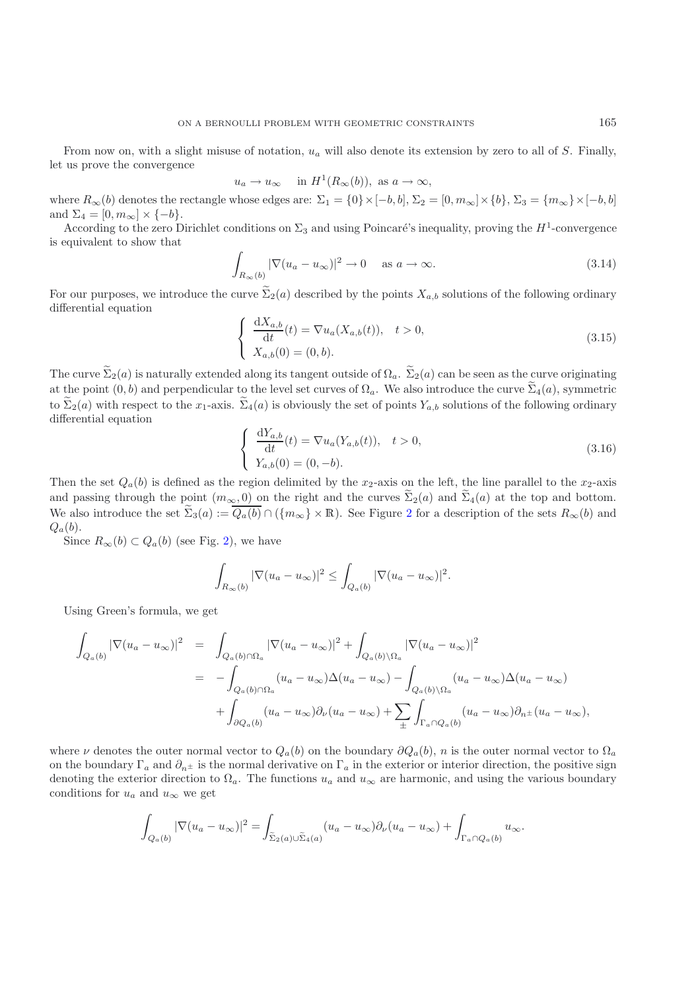From now on, with a slight misuse of notation,  $u_a$  will also denote its extension by zero to all of S. Finally, let us prove the convergence

$$
u_a \to u_\infty
$$
 in  $H^1(R_\infty(b))$ , as  $a \to \infty$ ,

where  $R_{\infty}(b)$  denotes the rectangle whose edges are:  $\Sigma_1 = \{0\} \times [-b, b], \Sigma_2 = [0, m_{\infty}] \times \{b\}, \Sigma_3 = \{m_{\infty}\} \times [-b, b]$ and  $\Sigma_4 = [0, m_\infty] \times \{-b\}.$ 

According to the zero Dirichlet conditions on  $\Sigma_3$  and using Poincaré's inequality, proving the  $H^1$ -convergence is equivalent to show that

$$
\int_{R_{\infty}(b)} |\nabla (u_a - u_{\infty})|^2 \to 0 \quad \text{as } a \to \infty.
$$
\n(3.14)

For our purposes, we introduce the curve  $\Sigma_2(a)$  described by the points  $X_{a,b}$  solutions of the following ordinary differential equation

<span id="page-8-0"></span>
$$
\begin{cases}\n\frac{dX_{a,b}}{dt}(t) = \nabla u_a(X_{a,b}(t)), \quad t > 0, \\
X_{a,b}(0) = (0, b).\n\end{cases}
$$
\n(3.15)

The curve  $\Sigma_2(a)$  is naturally extended along its tangent outside of  $\Omega_a$ .  $\Sigma_2(a)$  can be seen as the curve originating at the point  $(0, b)$  and perpendicular to the level set curves of  $\Omega_a$ . We also introduce the curve  $\Sigma_4(a)$ , symmetric to  $\Sigma_2(a)$  with respect to the  $x_1$ -axis.  $\Sigma_4(a)$  is obviously the set of points  $Y_{a,b}$  solutions of the following ordinary differential equation

$$
\begin{cases}\n\frac{dY_{a,b}}{dt}(t) = \nabla u_a(Y_{a,b}(t)), \quad t > 0, \\
Y_{a,b}(0) = (0, -b).\n\end{cases}
$$
\n(3.16)

Then the set  $Q_a(b)$  is defined as the region delimited by the x<sub>2</sub>-axis on the left, the line parallel to the x<sub>2</sub>-axis and passing through the point  $(m_{\infty}, 0)$  on the right and the curves  $\Sigma_2(a)$  and  $\Sigma_4(a)$  at the top and bottom. We also introduce the set  $\Sigma_3(a) := Q_a(b) \cap (\{m_\infty\} \times \mathbb{R})$ . See Figure [2](#page-9-0) for a description of the sets  $R_\infty(b)$  and  $Q_a(b)$ .

Since  $R_{\infty}(b) \subset Q_a(b)$  (see Fig. [2\)](#page-9-0), we have

$$
\int_{R_{\infty}(b)} |\nabla (u_a - u_{\infty})|^2 \leq \int_{Q_a(b)} |\nabla (u_a - u_{\infty})|^2.
$$

Using Green's formula, we get

$$
\int_{Q_a(b)} |\nabla (u_a - u_\infty)|^2 = \int_{Q_a(b) \cap \Omega_a} |\nabla (u_a - u_\infty)|^2 + \int_{Q_a(b) \backslash \Omega_a} |\nabla (u_a - u_\infty)|^2
$$
  
\n
$$
= - \int_{Q_a(b) \cap \Omega_a} (u_a - u_\infty) \Delta (u_a - u_\infty) - \int_{Q_a(b) \backslash \Omega_a} (u_a - u_\infty) \Delta (u_a - u_\infty)
$$
  
\n
$$
+ \int_{\partial Q_a(b)} (u_a - u_\infty) \partial_\nu (u_a - u_\infty) + \sum_{\pm} \int_{\Gamma_a \cap Q_a(b)} (u_a - u_\infty) \partial_n \pm (u_a - u_\infty),
$$

where  $\nu$  denotes the outer normal vector to  $Q_a(b)$  on the boundary  $\partial Q_a(b)$ , n is the outer normal vector to  $\Omega_a$ on the boundary  $\Gamma_a$  and  $\partial_n$  is the normal derivative on  $\Gamma_a$  in the exterior or interior direction, the positive sign denoting the exterior direction to  $\Omega_a$ . The functions  $u_a$  and  $u_\infty$  are harmonic, and using the various boundary conditions for  $u_a$  and  $u_\infty$  we get

$$
\int_{Q_a(b)} |\nabla (u_a - u_\infty)|^2 = \int_{\tilde{\Sigma}_2(a) \cup \tilde{\Sigma}_4(a)} (u_a - u_\infty) \partial_\nu (u_a - u_\infty) + \int_{\Gamma_a \cap Q_a(b)} u_\infty.
$$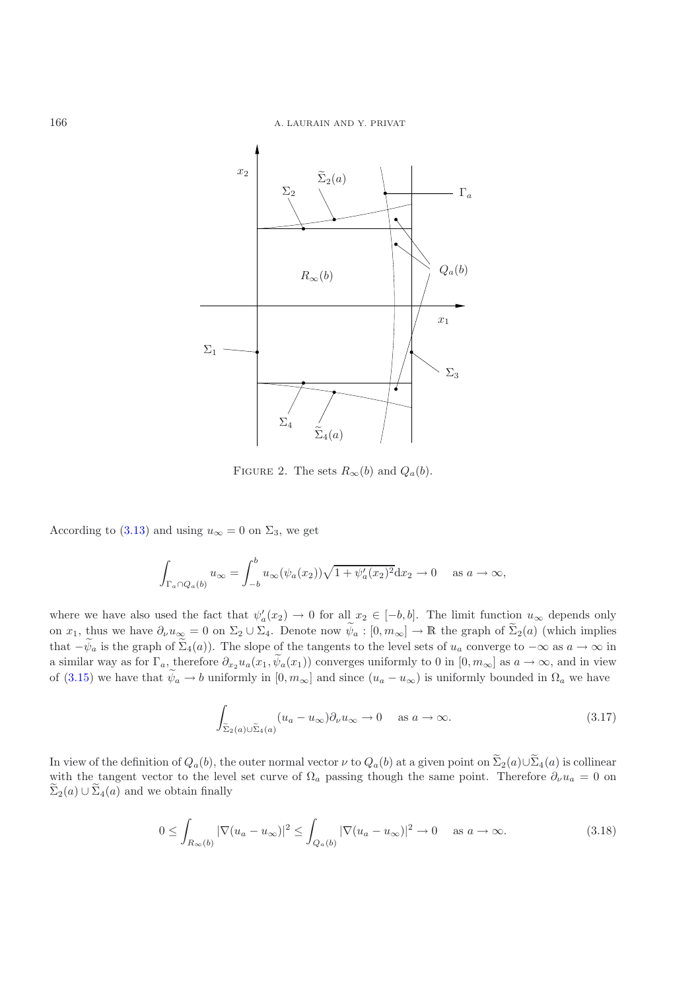

<span id="page-9-0"></span>FIGURE 2. The sets  $R_{\infty}(b)$  and  $Q_a(b)$ .

According to [\(3.13\)](#page-7-2) and using  $u_{\infty} = 0$  on  $\Sigma_3$ , we get

$$
\int_{\Gamma_a \cap Q_a(b)} u_{\infty} = \int_{-b}^b u_{\infty}(\psi_a(x_2)) \sqrt{1 + \psi'_a(x_2)^2} \, dx_2 \to 0 \quad \text{as } a \to \infty,
$$

where we have also used the fact that  $\psi_a'(x_2) \to 0$  for all  $x_2 \in [-b, b]$ . The limit function  $u_{\infty}$  depends only on  $x_1$ , thus we have  $\partial_\nu u_\infty = 0$  on  $\Sigma_2 \cup \Sigma_4$ . Denote now  $\psi_a : [0, m_\infty] \to \mathbb{R}$  the graph of  $\Sigma_2(a)$  (which implies that  $-\psi_a$  is the graph of  $\Sigma_4(a)$ ). The slope of the tangents to the level sets of  $u_a$  converge to  $-\infty$  as  $a \to \infty$  in a similar way as for  $\Gamma_a$ , therefore  $\partial_{x_2} u_a(x_1, \psi_a(x_1))$  converges uniformly to 0 in  $[0, m_\infty]$  as  $a \to \infty$ , and in view of [\(3.15\)](#page-8-0) we have that  $\psi_a \to b$  uniformly in  $[0, m_\infty]$  and since  $(u_a - u_\infty)$  is uniformly bounded in  $\Omega_a$  we have

$$
\int_{\tilde{\Sigma}_2(a)\cup \tilde{\Sigma}_4(a)} (u_a - u_{\infty}) \partial_{\nu} u_{\infty} \to 0 \quad \text{as } a \to \infty.
$$
\n(3.17)

<span id="page-9-1"></span>In view of the definition of  $Q_a(b)$ , the outer normal vector  $\nu$  to  $Q_a(b)$  at a given point on  $\Sigma_2(a)\cup \Sigma_4(a)$  is collinear with the tangent vector to the level set curve of  $\Omega_a$  passing though the same point. Therefore  $\partial_\nu u_a = 0$  on  $\Sigma_2(a) \cup \Sigma_4(a)$  and we obtain finally

$$
0 \leq \int_{R_{\infty}(b)} |\nabla (u_a - u_{\infty})|^2 \leq \int_{Q_a(b)} |\nabla (u_a - u_{\infty})|^2 \to 0 \quad \text{as } a \to \infty.
$$
 (3.18)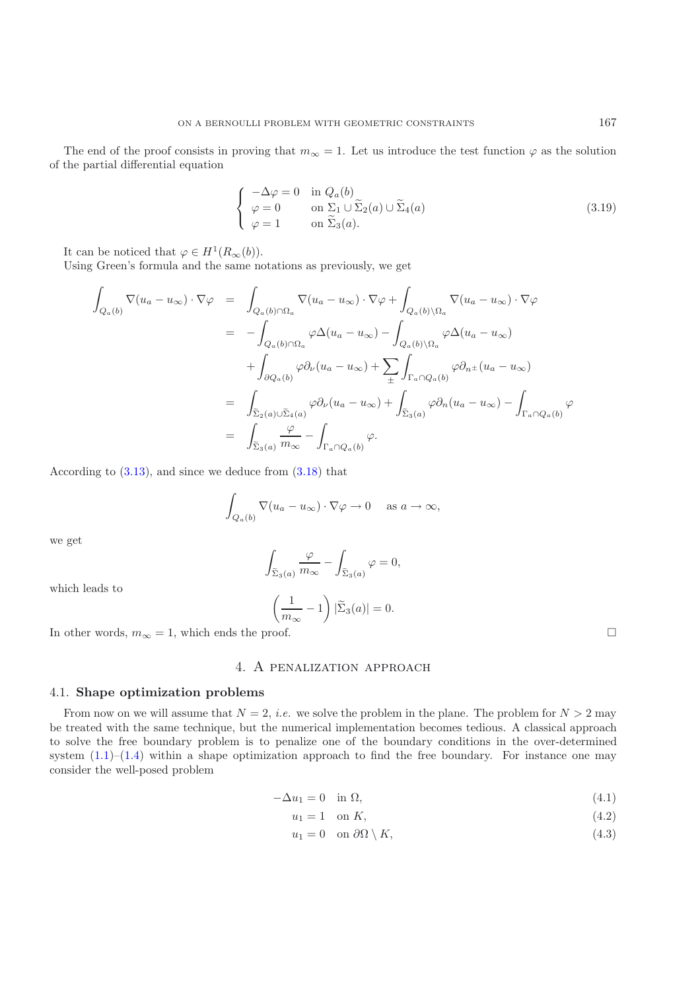The end of the proof consists in proving that  $m_{\infty} = 1$ . Let us introduce the test function  $\varphi$  as the solution of the partial differential equation

$$
\begin{cases}\n-\Delta \varphi = 0 & \text{in } Q_a(b) \\
\varphi = 0 & \text{on } \Sigma_1 \cup \widetilde{\Sigma}_2(a) \cup \widetilde{\Sigma}_4(a) \\
\varphi = 1 & \text{on } \widetilde{\Sigma}_3(a).\n\end{cases}
$$
\n(3.19)

It can be noticed that  $\varphi \in H^1(R_\infty(b)).$ 

Using Green's formula and the same notations as previously, we get

$$
\int_{Q_a(b)} \nabla (u_a - u_\infty) \cdot \nabla \varphi = \int_{Q_a(b) \cap \Omega_a} \nabla (u_a - u_\infty) \cdot \nabla \varphi + \int_{Q_a(b) \setminus \Omega_a} \nabla (u_a - u_\infty) \cdot \nabla \varphi
$$
\n
$$
= - \int_{Q_a(b) \cap \Omega_a} \varphi \Delta (u_a - u_\infty) - \int_{Q_a(b) \setminus \Omega_a} \varphi \Delta (u_a - u_\infty)
$$
\n
$$
+ \int_{\partial Q_a(b)} \varphi \partial_\nu (u_a - u_\infty) + \sum_{\pm} \int_{\Gamma_a \cap Q_a(b)} \varphi \partial_{n^{\pm}} (u_a - u_\infty)
$$
\n
$$
= \int_{\tilde{\Sigma}_2(a) \cup \tilde{\Sigma}_4(a)} \varphi \partial_\nu (u_a - u_\infty) + \int_{\tilde{\Sigma}_3(a)} \varphi \partial_n (u_a - u_\infty) - \int_{\Gamma_a \cap Q_a(b)} \varphi
$$
\n
$$
= \int_{\tilde{\Sigma}_3(a)} \frac{\varphi}{m_\infty} - \int_{\Gamma_a \cap Q_a(b)} \varphi.
$$

According to [\(3.13\)](#page-7-2), and since we deduce from [\(3.18\)](#page-9-1) that

$$
\int_{Q_a(b)} \nabla (u_a - u_\infty) \cdot \nabla \varphi \to 0 \quad \text{ as } a \to \infty,
$$

we get

$$
\int_{\widetilde{\Sigma}_3(a)} \frac{\varphi}{m_\infty} - \int_{\widetilde{\Sigma}_3(a)} \varphi = 0,
$$

which leads to

$$
\left(\frac{1}{m_{\infty}} - 1\right) |\widetilde{\Sigma}_3(a)| = 0.
$$

<span id="page-10-0"></span>In other words,  $m_{\infty} = 1$ , which ends the proof.

# 4. A penalization approach

#### <span id="page-10-1"></span>4.1. **Shape optimization problems**

From now on we will assume that  $N = 2$ , *i.e.* we solve the problem in the plane. The problem for  $N > 2$  may be treated with the same technique, but the numerical implementation becomes tedious. A classical approach to solve the free boundary problem is to penalize one of the boundary conditions in the over-determined system  $(1.1)$ – $(1.4)$  within a shape optimization approach to find the free boundary. For instance one may consider the well-posed problem

$$
-\Delta u_1 = 0 \quad \text{in } \Omega,\tag{4.1}
$$

$$
u_1 = 1 \quad \text{on } K,\tag{4.2}
$$

<span id="page-10-3"></span>
$$
u_1 = 0 \quad \text{on } \partial\Omega \setminus K,\tag{4.3}
$$

<span id="page-10-2"></span> $\Box$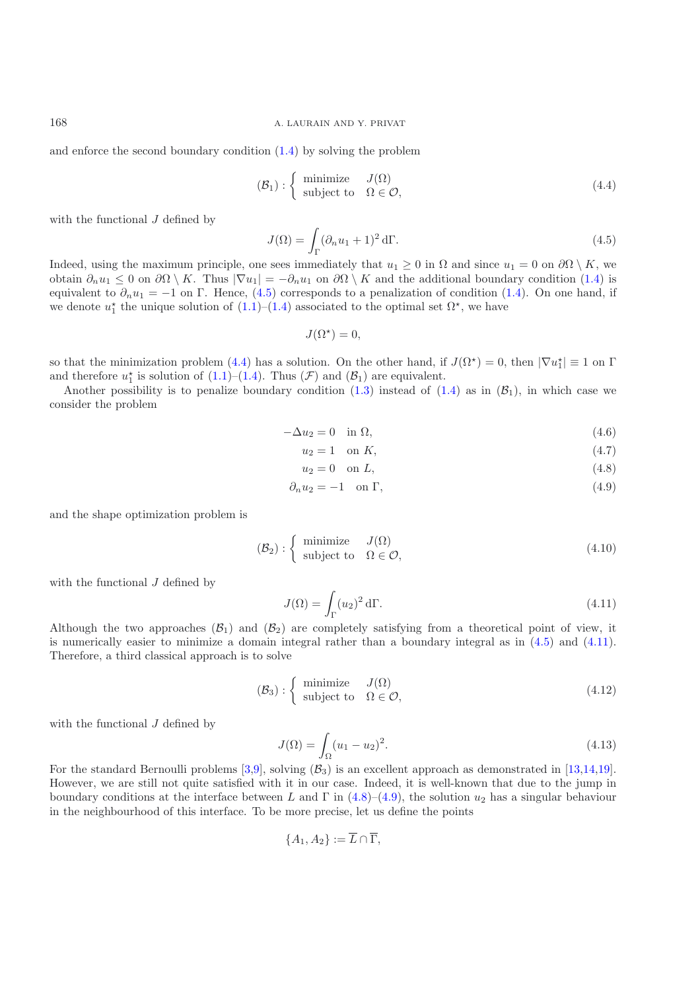168 A. LAURAIN AND Y. PRIVAT

and enforce the second boundary condition [\(1.4\)](#page-0-1) by solving the problem

<span id="page-11-1"></span>
$$
(\mathcal{B}_1) : \left\{ \begin{array}{ll}\text{minimize} & J(\Omega) \\ \text{subject to} & \Omega \in \mathcal{O}, \end{array} \right. \tag{4.4}
$$

with the functional  $J$  defined by

<span id="page-11-0"></span>
$$
J(\Omega) = \int_{\Gamma} (\partial_n u_1 + 1)^2 d\Gamma.
$$
 (4.5)

Indeed, using the maximum principle, one sees immediately that  $u_1 \geq 0$  in  $\Omega$  and since  $u_1 = 0$  on  $\partial\Omega \setminus K$ , we obtain  $\partial_n u_1 \leq 0$  on  $\partial \Omega \setminus K$ . Thus  $|\nabla u_1| = -\partial_n u_1$  on  $\partial \Omega \setminus K$  and the additional boundary condition [\(1.4\)](#page-0-1) is equivalent to  $\partial_n u_1 = -1$  on Γ. Hence, [\(4.5\)](#page-11-0) corresponds to a penalization of condition [\(1.4\)](#page-0-1). On one hand, if we denote  $u_1^*$  the unique solution of  $(1.1)$ – $(1.4)$  associated to the optimal set  $\Omega^*$ , we have

$$
J(\Omega^*) = 0,
$$

so that the minimization problem [\(4.4\)](#page-11-1) has a solution. On the other hand, if  $J(\Omega^*) = 0$ , then  $|\nabla u_1^*| \equiv 1$  on  $\Gamma$ and therefore  $u_1^*$  is solution of [\(1.1\)](#page-0-0)–[\(1.4\)](#page-0-1). Thus ( $\mathcal F$ ) and ( $\mathcal B_1$ ) are equivalent.

Another possibility is to penalize boundary condition [\(1.3\)](#page-0-2) instead of [\(1.4\)](#page-0-1) as in  $(\mathcal{B}_1)$ , in which case we consider the problem

$$
-\Delta u_2 = 0 \quad \text{in } \Omega,\tag{4.6}
$$

$$
u_2 = 1 \quad \text{on } K,\tag{4.7}
$$

<span id="page-11-5"></span><span id="page-11-4"></span><span id="page-11-3"></span>
$$
u_2 = 0 \quad \text{on } L,\tag{4.8}
$$

$$
\partial_n u_2 = -1 \quad \text{on } \Gamma,\tag{4.9}
$$

and the shape optimization problem is

<span id="page-11-2"></span>
$$
(\mathcal{B}_2): \left\{ \begin{array}{ll}\text{minimize} & J(\Omega) \\ \text{subject to} & \Omega \in \mathcal{O}, \end{array} \right. \tag{4.10}
$$

with the functional  $J$  defined by

$$
J(\Omega) = \int_{\Gamma} (u_2)^2 d\Gamma.
$$
 (4.11)

Although the two approaches  $(\mathcal{B}_1)$  and  $(\mathcal{B}_2)$  are completely satisfying from a theoretical point of view, it is numerically easier to minimize a domain integral rather than a boundary integral as in [\(4.5\)](#page-11-0) and [\(4.11\)](#page-11-2). Therefore, a third classical approach is to solve

$$
(\mathcal{B}_3): \left\{ \begin{array}{ll}\text{minimize} & J(\Omega) \\ \text{subject to} & \Omega \in \mathcal{O}, \end{array} \right. \tag{4.12}
$$

with the functional J defined by

$$
J(\Omega) = \int_{\Omega} (u_1 - u_2)^2.
$$
 (4.13)

For the standard Bernoulli problems  $[3,9]$  $[3,9]$ , solving  $(\mathcal{B}_3)$  is an excellent approach as demonstrated in [\[13](#page-23-10)[,14](#page-23-11)[,19\]](#page-23-12). However, we are still not quite satisfied with it in our case. Indeed, it is well-known that due to the jump in boundary conditions at the interface between L and  $\Gamma$  in [\(4.8\)](#page-11-3)–[\(4.9\)](#page-11-4), the solution  $u_2$  has a singular behaviour in the neighbourhood of this interface. To be more precise, let us define the points

$$
\{A_1, A_2\} := \overline{L} \cap \overline{\Gamma},
$$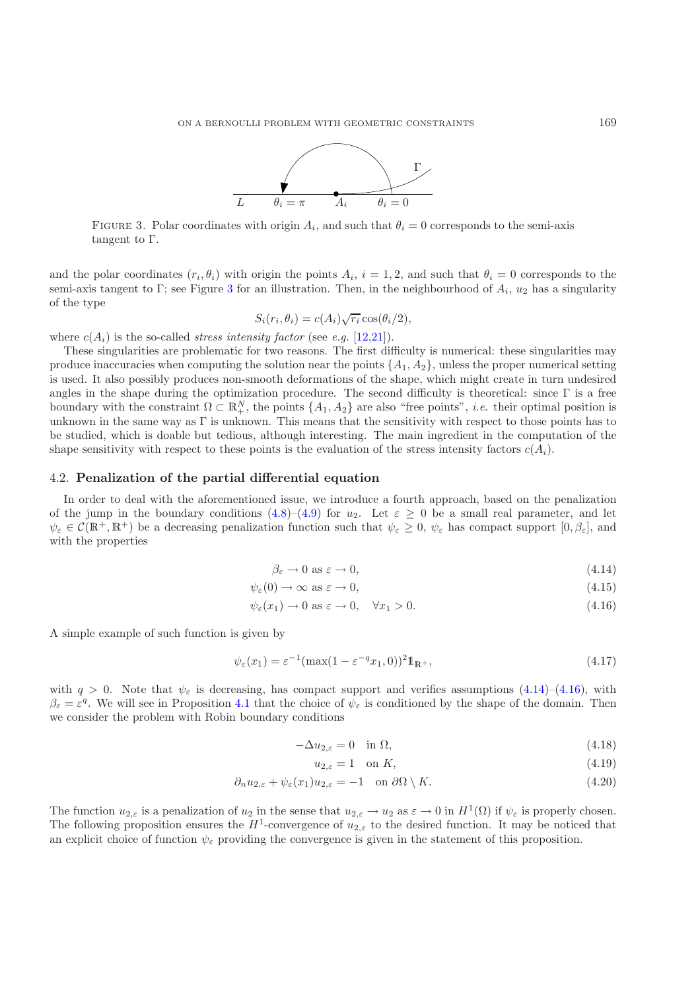

<span id="page-12-0"></span>FIGURE 3. Polar coordinates with origin  $A_i$ , and such that  $\theta_i = 0$  corresponds to the semi-axis tangent to Γ.

and the polar coordinates  $(r_i, \theta_i)$  with origin the points  $A_i$ ,  $i = 1, 2$ , and such that  $\theta_i = 0$  corresponds to the semi-axis tangent to Γ; see Figure [3](#page-12-0) for an illustration. Then, in the neighbourhood of  $A_i$ ,  $u_2$  has a singularity of the type

$$
S_i(r_i, \theta_i) = c(A_i) \sqrt{r_i} \cos(\theta_i/2),
$$

where  $c(A_i)$  is the so-called *stress intensity factor* (see *e.g.* [\[12](#page-23-21)[,21\]](#page-23-22)).

These singularities are problematic for two reasons. The first difficulty is numerical: these singularities may produce inaccuracies when computing the solution near the points  $\{A_1, A_2\}$ , unless the proper numerical setting is used. It also possibly produces non-smooth deformations of the shape, which might create in turn undesired angles in the shape during the optimization procedure. The second difficulty is theoretical: since Γ is a free boundary with the constraint  $\Omega \subset \mathbb{R}^N_+$ , the points  $\{A_1, A_2\}$  are also "free points", *i.e.* their optimal position is unknown in the same way as Γ is unknown. This means that the sensitivity with respect to those points has to be studied, which is doable but tedious, although interesting. The main ingredient in the computation of the shape sensitivity with respect to these points is the evaluation of the stress intensity factors  $c(A_i)$ .

#### 4.2. **Penalization of the partial differential equation**

In order to deal with the aforementioned issue, we introduce a fourth approach, based on the penalization of the jump in the boundary conditions  $(4.8)$ – $(4.9)$  for  $u_2$ . Let  $\varepsilon \geq 0$  be a small real parameter, and let  $\psi_{\varepsilon} \in \mathcal{C}(\mathbb{R}^+,\mathbb{R}^+)$  be a decreasing penalization function such that  $\psi_{\varepsilon} \geq 0$ ,  $\psi_{\varepsilon}$  has compact support  $[0,\beta_{\varepsilon}]$ , and with the properties

<span id="page-12-2"></span><span id="page-12-1"></span>
$$
\beta_{\varepsilon} \to 0 \text{ as } \varepsilon \to 0,\tag{4.14}
$$

$$
\psi_{\varepsilon}(0) \to \infty \text{ as } \varepsilon \to 0,\tag{4.15}
$$

$$
\psi_{\varepsilon}(x_1) \to 0 \text{ as } \varepsilon \to 0, \quad \forall x_1 > 0. \tag{4.16}
$$

A simple example of such function is given by

<span id="page-12-4"></span>
$$
\psi_{\varepsilon}(x_1) = \varepsilon^{-1} (\max(1 - \varepsilon^{-q} x_1, 0))^2 \mathbb{1}_{\mathbb{R}^+},\tag{4.17}
$$

with  $q > 0$ . Note that  $\psi_{\varepsilon}$  is decreasing, has compact support and verifies assumptions [\(4.14\)](#page-12-1)–[\(4.16\)](#page-12-2), with  $\beta_{\varepsilon} = \varepsilon^{q}$ . We will see in Proposition [4.1](#page-12-3) that the choice of  $\psi_{\varepsilon}$  is conditioned by the shape of the domain. Then we consider the problem with Robin boundary conditions

$$
-\Delta u_{2,\varepsilon} = 0 \quad \text{in } \Omega,\tag{4.18}
$$

<span id="page-12-6"></span><span id="page-12-5"></span>
$$
u_{2,\varepsilon} = 1 \quad \text{on } K,\tag{4.19}
$$

$$
\partial_n u_{2,\varepsilon} + \psi_{\varepsilon}(x_1) u_{2,\varepsilon} = -1 \quad \text{on } \partial\Omega \setminus K. \tag{4.20}
$$

<span id="page-12-3"></span>The function  $u_{2,\varepsilon}$  is a penalization of  $u_2$  in the sense that  $u_{2,\varepsilon} \to u_2$  as  $\varepsilon \to 0$  in  $H^1(\Omega)$  if  $\psi_{\varepsilon}$  is properly chosen. The following proposition ensures the  $H^1$ -convergence of  $u_{2,\varepsilon}$  to the desired function. It may be noticed that an explicit choice of function  $\psi_{\varepsilon}$  providing the convergence is given in the statement of this proposition.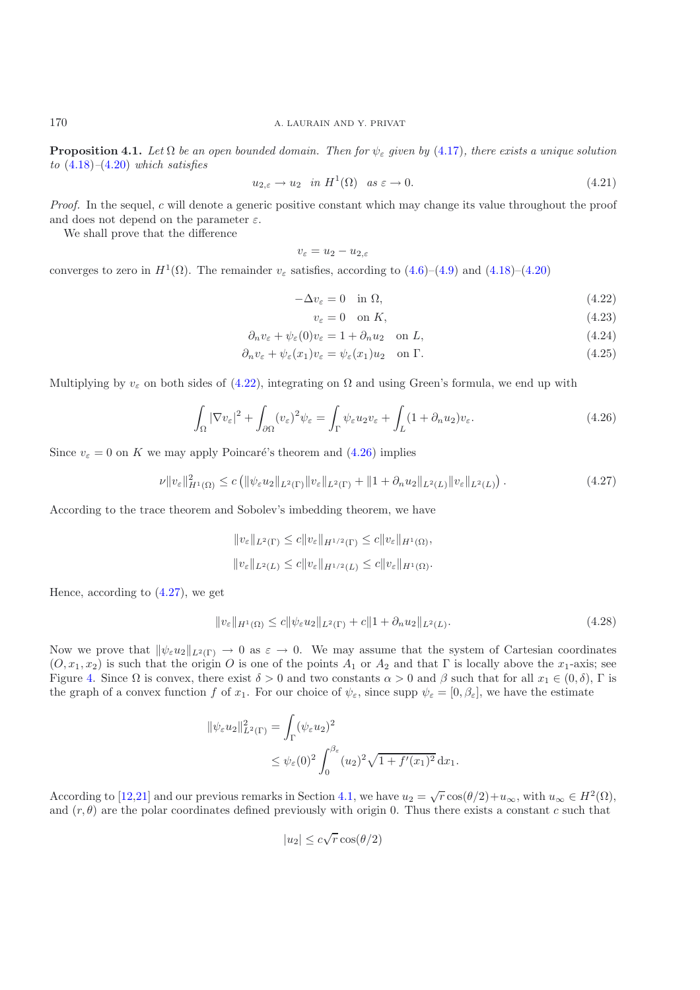**Proposition 4.1.** *Let*  $\Omega$  *be an open bounded domain. Then for*  $\psi_{\varepsilon}$  *given by* [\(4.17\)](#page-12-4)*, there exists a unique solution to* [\(4.18\)](#page-12-5)*–*[\(4.20\)](#page-12-6) *which satisfies*

$$
u_{2,\varepsilon} \to u_2 \quad \text{in } H^1(\Omega) \quad \text{as } \varepsilon \to 0. \tag{4.21}
$$

*Proof.* In the sequel, c will denote a generic positive constant which may change its value throughout the proof and does not depend on the parameter  $\varepsilon$ .

We shall prove that the difference

$$
v_{\varepsilon}=u_2-u_{2,\varepsilon}
$$

converges to zero in  $H^1(\Omega)$ . The remainder  $v_{\varepsilon}$  satisfies, according to [\(4.6\)](#page-11-5)–[\(4.9\)](#page-11-4) and [\(4.18\)](#page-12-5)–[\(4.20\)](#page-12-6)

$$
-\Delta v_{\varepsilon} = 0 \quad \text{in } \Omega,\tag{4.22}
$$

<span id="page-13-0"></span>
$$
v_{\varepsilon} = 0 \quad \text{on } K,\tag{4.23}
$$

$$
\partial_n v_{\varepsilon} + \psi_{\varepsilon}(0)v_{\varepsilon} = 1 + \partial_n u_2 \quad \text{on } L,\tag{4.24}
$$

$$
\partial_n v_{\varepsilon} + \psi_{\varepsilon}(x_1) v_{\varepsilon} = \psi_{\varepsilon}(x_1) u_2 \quad \text{on } \Gamma. \tag{4.25}
$$

<span id="page-13-1"></span>Multiplying by  $v_{\varepsilon}$  on both sides of [\(4.22\)](#page-13-0), integrating on  $\Omega$  and using Green's formula, we end up with

$$
\int_{\Omega} |\nabla v_{\varepsilon}|^2 + \int_{\partial \Omega} (v_{\varepsilon})^2 \psi_{\varepsilon} = \int_{\Gamma} \psi_{\varepsilon} u_2 v_{\varepsilon} + \int_{L} (1 + \partial_n u_2) v_{\varepsilon}.
$$
\n(4.26)

<span id="page-13-2"></span>Since  $v_{\varepsilon} = 0$  on K we may apply Poincaré's theorem and [\(4.26\)](#page-13-1) implies

$$
\nu \|v_{\varepsilon}\|_{H^1(\Omega)}^2 \le c \left( \|\psi_{\varepsilon} u_2\|_{L^2(\Gamma)} \|v_{\varepsilon}\|_{L^2(\Gamma)} + \|1 + \partial_n u_2\|_{L^2(L)} \|v_{\varepsilon}\|_{L^2(L)} \right). \tag{4.27}
$$

According to the trace theorem and Sobolev's imbedding theorem, we have

$$
||v_{\varepsilon}||_{L^{2}(\Gamma)} \leq c||v_{\varepsilon}||_{H^{1/2}(\Gamma)} \leq c||v_{\varepsilon}||_{H^{1}(\Omega)},
$$
  

$$
||v_{\varepsilon}||_{L^{2}(L)} \leq c||v_{\varepsilon}||_{H^{1/2}(L)} \leq c||v_{\varepsilon}||_{H^{1}(\Omega)}.
$$

Hence, according to [\(4.27\)](#page-13-2), we get

<span id="page-13-3"></span>
$$
||v_{\varepsilon}||_{H^{1}(\Omega)} \leq c||\psi_{\varepsilon}u_{2}||_{L^{2}(\Gamma)} + c||1 + \partial_{n}u_{2}||_{L^{2}(L)}.
$$
\n(4.28)

Now we prove that  $\|\psi_{\varepsilon}u_2\|_{L^2(\Gamma)} \to 0$  as  $\varepsilon \to 0$ . We may assume that the system of Cartesian coordinates  $(0, x_1, x_2)$  is such that the origin O is one of the points  $A_1$  or  $A_2$  and that  $\Gamma$  is locally above the  $x_1$ -axis; see Figure [4.](#page-14-0) Since  $\Omega$  is convex, there exist  $\delta > 0$  and two constants  $\alpha > 0$  and  $\beta$  such that for all  $x_1 \in (0, \delta)$ ,  $\Gamma$  is the graph of a convex function f of  $x_1$ . For our choice of  $\psi_{\varepsilon}$ , since supp  $\psi_{\varepsilon} = [0, \beta_{\varepsilon}]$ , we have the estimate

$$
\|\psi_{\varepsilon}u_2\|_{L^2(\Gamma)}^2 = \int_{\Gamma} (\psi_{\varepsilon}u_2)^2
$$
  

$$
\leq \psi_{\varepsilon}(0)^2 \int_0^{\beta_{\varepsilon}} (u_2)^2 \sqrt{1 + f'(x_1)^2} dx_1.
$$

According to [\[12](#page-23-21)[,21\]](#page-23-22) and our previous remarks in Section [4.1,](#page-10-1) we have  $u_2 = \sqrt{r} \cos(\theta/2) + u_\infty$ , with  $u_\infty \in H^2(\Omega)$ , and  $(r, \theta)$  are the polar coordinates defined previously with origin 0. Thus there exists a constant c such that

$$
|u_2| \le c\sqrt{r} \cos(\theta/2)
$$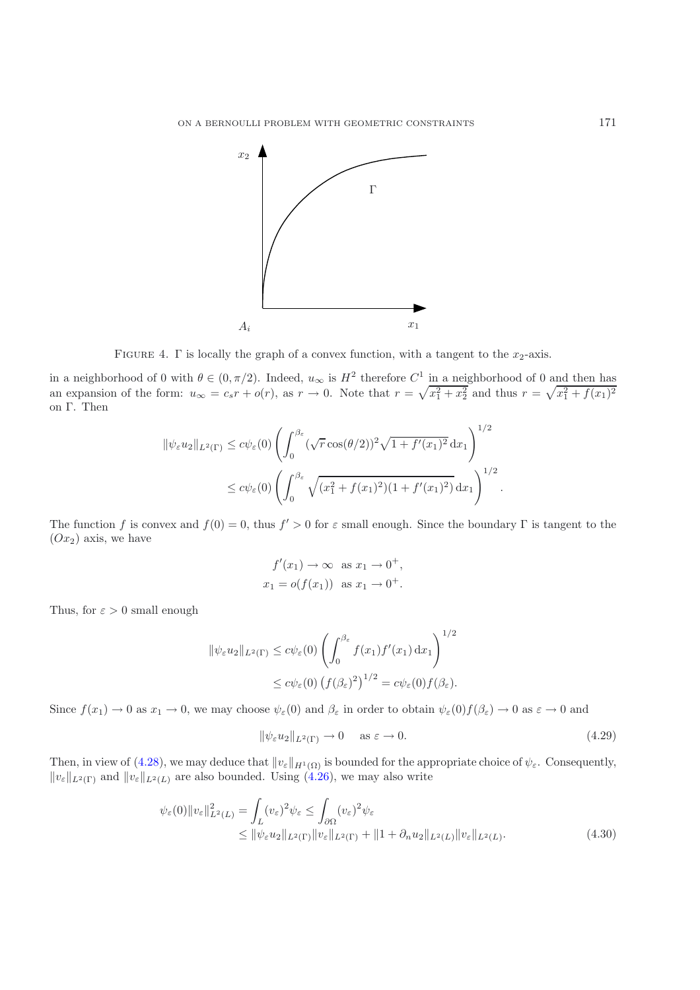

<span id="page-14-0"></span>FIGURE 4.  $\Gamma$  is locally the graph of a convex function, with a tangent to the  $x_2$ -axis.

in a neighborhood of 0 with  $\theta \in (0, \pi/2)$ . Indeed,  $u_{\infty}$  is  $H^2$  therefore  $C^1$  in a neighborhood of 0 and then has an expansion of the form:  $u_{\infty} = c_s r + o(r)$ , as  $r \to 0$ . Note that  $r = \sqrt{x_1^2 + x_2^2}$  and thus  $r = \sqrt{x_1^2 + f(x_1)^2}$ on Γ. Then

$$
\|\psi_{\varepsilon}u_2\|_{L^2(\Gamma)} \leq c\psi_{\varepsilon}(0) \left( \int_0^{\beta_{\varepsilon}} (\sqrt{r}\cos(\theta/2))^2 \sqrt{1+f'(x_1)^2} \,dx_1 \right)^{1/2}
$$
  

$$
\leq c\psi_{\varepsilon}(0) \left( \int_0^{\beta_{\varepsilon}} \sqrt{(x_1^2+f(x_1)^2)(1+f'(x_1)^2)} \,dx_1 \right)^{1/2}.
$$

The function f is convex and  $f(0) = 0$ , thus  $f' > 0$  for  $\varepsilon$  small enough. Since the boundary Γ is tangent to the  $(Ox_2)$  axis, we have

$$
f'(x_1) \to \infty
$$
 as  $x_1 \to 0^+$ ,  
 $x_1 = o(f(x_1))$  as  $x_1 \to 0^+$ .

Thus, for  $\varepsilon > 0$  small enough

$$
\|\psi_{\varepsilon}u_2\|_{L^2(\Gamma)} \le c\psi_{\varepsilon}(0) \left(\int_0^{\beta_{\varepsilon}} f(x_1)f'(x_1) dx_1\right)^{1/2}
$$
  

$$
\le c\psi_{\varepsilon}(0) \left(f(\beta_{\varepsilon})^2\right)^{1/2} = c\psi_{\varepsilon}(0)f(\beta_{\varepsilon}).
$$

Since  $f(x_1) \to 0$  as  $x_1 \to 0$ , we may choose  $\psi_{\varepsilon}(0)$  and  $\beta_{\varepsilon}$  in order to obtain  $\psi_{\varepsilon}(0) f(\beta_{\varepsilon}) \to 0$  as  $\varepsilon \to 0$  and

<span id="page-14-1"></span>
$$
\|\psi_{\varepsilon}u_2\|_{L^2(\Gamma)} \to 0 \quad \text{as } \varepsilon \to 0. \tag{4.29}
$$

Then, in view of [\(4.28\)](#page-13-3), we may deduce that  $||v_{\varepsilon}||_{H^1(\Omega)}$  is bounded for the appropriate choice of  $\psi_{\varepsilon}$ . Consequently,  $||v_{\varepsilon}||_{L^{2}(\Gamma)}$  and  $||v_{\varepsilon}||_{L^{2}(L)}$  are also bounded. Using  $(4.26)$ , we may also write

$$
\psi_{\varepsilon}(0) \|v_{\varepsilon}\|_{L^{2}(L)}^{2} = \int_{L} (v_{\varepsilon})^{2} \psi_{\varepsilon} \leq \int_{\partial \Omega} (v_{\varepsilon})^{2} \psi_{\varepsilon}
$$
  
\n
$$
\leq \|\psi_{\varepsilon} u_{2}\|_{L^{2}(\Gamma)} \|v_{\varepsilon}\|_{L^{2}(\Gamma)} + \|1 + \partial_{n} u_{2}\|_{L^{2}(L)} \|v_{\varepsilon}\|_{L^{2}(L)}.
$$
\n(4.30)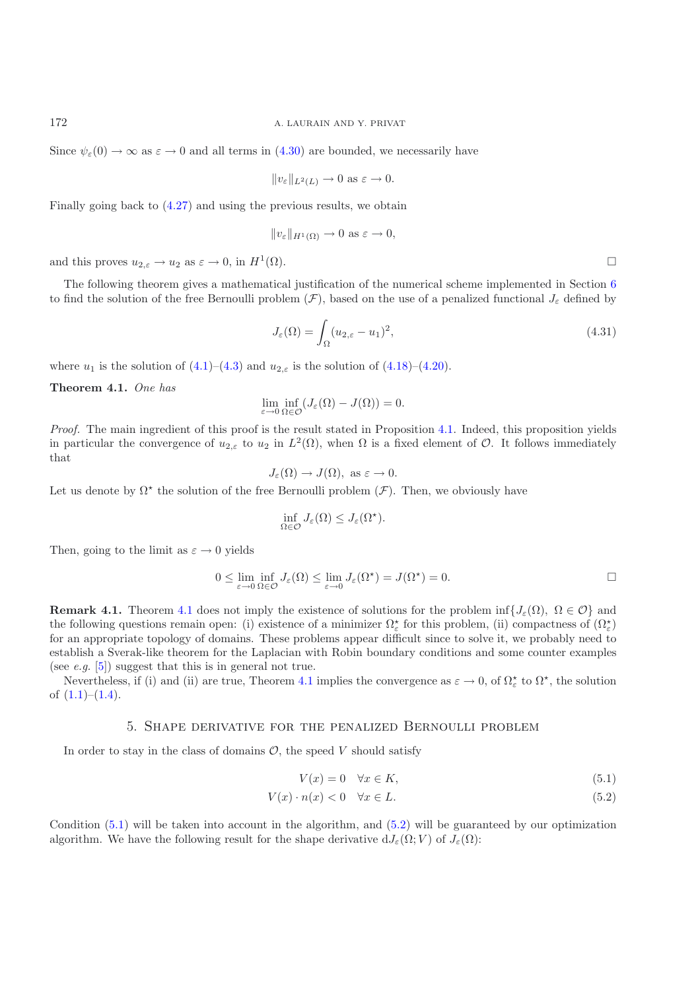Since  $\psi_{\varepsilon}(0) \to \infty$  as  $\varepsilon \to 0$  and all terms in [\(4.30\)](#page-14-1) are bounded, we necessarily have

$$
||v_{\varepsilon}||_{L^2(L)} \to 0 \text{ as } \varepsilon \to 0.
$$

Finally going back to [\(4.27\)](#page-13-2) and using the previous results, we obtain

$$
||v_{\varepsilon}||_{H^1(\Omega)} \to 0 \text{ as } \varepsilon \to 0,
$$

and this proves  $u_{2,\varepsilon} \to u_2$  as  $\varepsilon \to 0$ , in  $H^1(\Omega)$ .

The following theorem gives a mathematical justification of the numerical scheme implemented in Section [6](#page-17-0) to find the solution of the free Bernoulli problem  $(\mathcal{F})$ , based on the use of a penalized functional  $J_{\varepsilon}$  defined by

<span id="page-15-5"></span>
$$
J_{\varepsilon}(\Omega) = \int_{\Omega} (u_{2,\varepsilon} - u_1)^2,
$$
\n(4.31)

<span id="page-15-0"></span>where  $u_1$  is the solution of  $(4.1)$ – $(4.3)$  and  $u_{2,\varepsilon}$  is the solution of  $(4.18)$ – $(4.20)$ .

**Theorem 4.1.** *One has*

$$
\lim_{\varepsilon \to 0} \inf_{\Omega \in \mathcal{O}} (J_{\varepsilon}(\Omega) - J(\Omega)) = 0.
$$

*Proof.* The main ingredient of this proof is the result stated in Proposition [4.1.](#page-12-3) Indeed, this proposition yields in particular the convergence of  $u_{2,\varepsilon}$  to  $u_2$  in  $L^2(\Omega)$ , when  $\Omega$  is a fixed element of  $\mathcal O$ . It follows immediately that

$$
J_{\varepsilon}(\Omega) \to J(\Omega)
$$
, as  $\varepsilon \to 0$ .

Let us denote by  $\Omega^*$  the solution of the free Bernoulli problem  $(\mathcal{F})$ . Then, we obviously have

$$
\inf_{\Omega \in \mathcal{O}} J_{\varepsilon}(\Omega) \leq J_{\varepsilon}(\Omega^*).
$$

Then, going to the limit as  $\varepsilon \to 0$  yields

$$
0 \le \lim_{\varepsilon \to 0} \inf_{\Omega \in \mathcal{O}} J_{\varepsilon}(\Omega) \le \lim_{\varepsilon \to 0} J_{\varepsilon}(\Omega^{\star}) = J(\Omega^{\star}) = 0.
$$

**Remark [4.1](#page-15-0).** Theorem 4.1 does not imply the existence of solutions for the problem inf $\{J_{\varepsilon}(\Omega), \Omega \in \mathcal{O}\}\$ and the following questions remain open: (i) existence of a minimizer  $\Omega_{\varepsilon}^{\star}$  for this problem, (ii) compactness of  $(\Omega_{\varepsilon}^{\star})$ for an appropriate topology of domains. These problems appear difficult since to solve it, we probably need to establish a Sverak-like theorem for the Laplacian with Robin boundary conditions and some counter examples (see *e.g.* [\[5](#page-23-23)]) suggest that this is in general not true.

<span id="page-15-1"></span>Nevertheless, if (i) and (ii) are true, Theorem [4.1](#page-15-0) implies the convergence as  $\varepsilon \to 0$ , of  $\Omega_{\varepsilon}^*$  to  $\Omega^*$ , the solution of  $(1.1)$ – $(1.4)$ .

### 5. Shape derivative for the penalized Bernoulli problem

In order to stay in the class of domains  $\mathcal{O}$ , the speed V should satisfy

<span id="page-15-4"></span><span id="page-15-3"></span>
$$
V(x) = 0 \quad \forall x \in K,\tag{5.1}
$$

$$
V(x) \cdot n(x) < 0 \quad \forall x \in L. \tag{5.2}
$$

<span id="page-15-2"></span>Condition [\(5.1\)](#page-15-3) will be taken into account in the algorithm, and [\(5.2\)](#page-15-4) will be guaranteed by our optimization algorithm. We have the following result for the shape derivative  $dJ_{\varepsilon}(\Omega; V)$  of  $J_{\varepsilon}(\Omega)$ :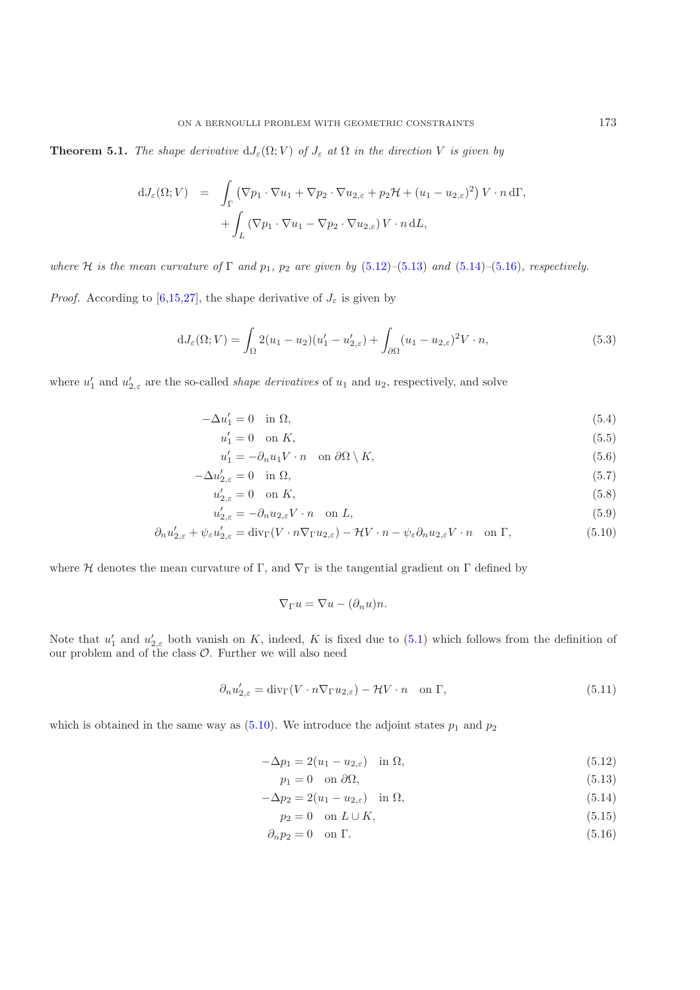**Theorem 5.1.** *The shape derivative*  $dJ_{\varepsilon}(\Omega; V)$  *of*  $J_{\varepsilon}$  *at*  $\Omega$  *in the direction* V *is given by* 

$$
dJ_{\varepsilon}(\Omega;V) = \int_{\Gamma} (\nabla p_1 \cdot \nabla u_1 + \nabla p_2 \cdot \nabla u_{2,\varepsilon} + p_2 \mathcal{H} + (u_1 - u_{2,\varepsilon})^2) V \cdot n \,d\Gamma,
$$
  
+ 
$$
\int_{L} (\nabla p_1 \cdot \nabla u_1 - \nabla p_2 \cdot \nabla u_{2,\varepsilon}) V \cdot n \,dL,
$$

*where*  $H$  *is the mean curvature of*  $\Gamma$  *and*  $p_1$ *,*  $p_2$  *are given by* [\(5.12\)](#page-16-0)–[\(5.13\)](#page-16-1) *and* [\(5.14\)](#page-16-2)–[\(5.16\)](#page-16-3)*, respectively.* 

*Proof.* According to [\[6](#page-23-17)[,15](#page-23-18)[,27](#page-23-19)], the shape derivative of  $J_{\varepsilon}$  is given by

$$
dJ_{\varepsilon}(\Omega;V) = \int_{\Omega} 2(u_1 - u_2)(u'_1 - u'_{2,\varepsilon}) + \int_{\partial\Omega} (u_1 - u_{2,\varepsilon})^2 V \cdot n, \tag{5.3}
$$

<span id="page-16-5"></span>where  $u'_1$  and  $u'_{2,\varepsilon}$  are the so-called *shape derivatives* of  $u_1$  and  $u_2$ , respectively, and solve

$$
-\Delta u_1' = 0 \quad \text{in } \Omega,\tag{5.4}
$$

$$
u_1' = 0 \quad \text{on } K,\tag{5.5}
$$

$$
u_1' = -\partial_n u_1 V \cdot n \quad \text{on } \partial\Omega \setminus K,\tag{5.6}
$$

$$
-\Delta u'_{2,\varepsilon} = 0 \quad \text{in } \Omega,\tag{5.7}
$$

$$
u'_{2,\varepsilon} = 0 \quad \text{on } K,\tag{5.8}
$$

$$
u'_{2,\varepsilon} = -\partial_n u_{2,\varepsilon} V \cdot n \quad \text{on } L,\tag{5.9}
$$

$$
\partial_n u'_{2,\varepsilon} + \psi_{\varepsilon} u'_{2,\varepsilon} = \text{div}_{\Gamma}(V \cdot n \nabla_{\Gamma} u_{2,\varepsilon}) - \mathcal{H}V \cdot n - \psi_{\varepsilon} \partial_n u_{2,\varepsilon} V \cdot n \quad \text{on } \Gamma,
$$
\n(5.10)

where H denotes the mean curvature of Γ, and  $\nabla_{\Gamma}$  is the tangential gradient on Γ defined by

<span id="page-16-6"></span><span id="page-16-4"></span>
$$
\nabla_{\Gamma} u = \nabla u - (\partial_n u) n.
$$

Note that  $u'_1$  and  $u'_{2,\varepsilon}$  both vanish on K, indeed, K is fixed due to [\(5.1\)](#page-15-3) which follows from the definition of our problem and of the class  $\mathcal{O}$ . Further we will also need

<span id="page-16-7"></span>
$$
\partial_n u'_{2,\varepsilon} = \text{div}_{\Gamma}(V \cdot n \nabla_{\Gamma} u_{2,\varepsilon}) - \mathcal{H}V \cdot n \quad \text{on } \Gamma,
$$
\n(5.11)

which is obtained in the same way as  $(5.10)$ . We introduce the adjoint states  $p_1$  and  $p_2$ 

$$
-\Delta p_1 = 2(u_1 - u_{2,\varepsilon}) \quad \text{in } \Omega,\tag{5.12}
$$

$$
p_1 = 0 \quad \text{on } \partial \Omega,
$$
\n<sup>(5.13)</sup>

$$
-\Delta p_2 = 2(u_1 - u_{2,\varepsilon}) \quad \text{in } \Omega,\tag{5.14}
$$

<span id="page-16-3"></span><span id="page-16-2"></span><span id="page-16-1"></span><span id="page-16-0"></span>
$$
p_2 = 0 \quad \text{on } L \cup K,\tag{5.15}
$$

 $\partial_n p_2 = 0$  on  $\Gamma$ . (5.16)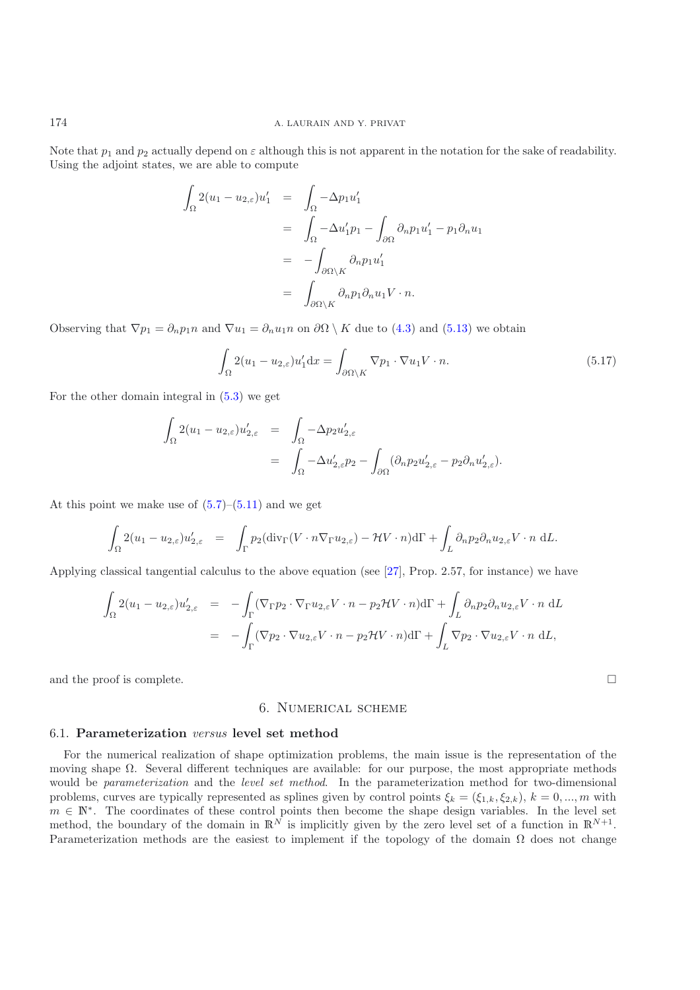Note that  $p_1$  and  $p_2$  actually depend on  $\varepsilon$  although this is not apparent in the notation for the sake of readability. Using the adjoint states, we are able to compute

$$
\int_{\Omega} 2(u_1 - u_{2,\varepsilon}) u'_1 = \int_{\Omega} -\Delta p_1 u'_1
$$
  

$$
= \int_{\Omega} -\Delta u'_1 p_1 - \int_{\partial \Omega} \partial_n p_1 u'_1 - p_1 \partial_n u_1
$$
  

$$
= -\int_{\partial \Omega \setminus K} \partial_n p_1 u'_1
$$
  

$$
= \int_{\partial \Omega \setminus K} \partial_n p_1 \partial_n u_1 V \cdot n.
$$

Observing that  $\nabla p_1 = \partial_n p_1 n$  and  $\nabla u_1 = \partial_n u_1 n$  on  $\partial \Omega \setminus K$  due to [\(4.3\)](#page-10-3) and [\(5.13\)](#page-16-1) we obtain

$$
\int_{\Omega} 2(u_1 - u_{2,\varepsilon}) u_1' dx = \int_{\partial \Omega \setminus K} \nabla p_1 \cdot \nabla u_1 V \cdot n.
$$
\n(5.17)

 $\Box$ 

For the other domain integral in [\(5.3\)](#page-16-5) we get

$$
\int_{\Omega} 2(u_1 - u_{2,\varepsilon}) u'_{2,\varepsilon} = \int_{\Omega} -\Delta p_2 u'_{2,\varepsilon}
$$
  
= 
$$
\int_{\Omega} -\Delta u'_{2,\varepsilon} p_2 - \int_{\partial \Omega} (\partial_n p_2 u'_{2,\varepsilon} - p_2 \partial_n u'_{2,\varepsilon}).
$$

At this point we make use of  $(5.7)$ – $(5.11)$  and we get

$$
\int_{\Omega} 2(u_1 - u_{2,\varepsilon}) u'_{2,\varepsilon} = \int_{\Gamma} p_2(\text{div}_{\Gamma}(V \cdot n \nabla_{\Gamma} u_{2,\varepsilon}) - \mathcal{H}V \cdot n) d\Gamma + \int_{L} \partial_n p_2 \partial_n u_{2,\varepsilon} V \cdot n \, dL.
$$

Applying classical tangential calculus to the above equation (see [\[27](#page-23-19)], Prop. 2.57, for instance) we have

$$
\int_{\Omega} 2(u_1 - u_{2,\varepsilon}) u'_{2,\varepsilon} = - \int_{\Gamma} (\nabla_{\Gamma} p_2 \cdot \nabla_{\Gamma} u_{2,\varepsilon} V \cdot n - p_2 \mathcal{H} V \cdot n) d\Gamma + \int_{L} \partial_n p_2 \partial_n u_{2,\varepsilon} V \cdot n dL
$$
\n
$$
= - \int_{\Gamma} (\nabla p_2 \cdot \nabla u_{2,\varepsilon} V \cdot n - p_2 \mathcal{H} V \cdot n) d\Gamma + \int_{L} \nabla p_2 \cdot \nabla u_{2,\varepsilon} V \cdot n dL,
$$

<span id="page-17-0"></span>and the proof is complete.

## 6. Numerical scheme

#### 6.1. **Parameterization** *versus* **level set method**

For the numerical realization of shape optimization problems, the main issue is the representation of the moving shape  $\Omega$ . Several different techniques are available: for our purpose, the most appropriate methods would be *parameterization* and the *level set method*. In the parameterization method for two-dimensional problems, curves are typically represented as splines given by control points  $\xi_k = (\xi_{1,k}, \xi_{2,k}), k = 0, ..., m$  with  $m \in \mathbb{N}^*$ . The coordinates of these control points then become the shape design variables. In the level set method, the boundary of the domain in  $\mathbb{R}^N$  is implicitly given by the zero level set of a function in  $\mathbb{R}^{N+1}$ . Parameterization methods are the easiest to implement if the topology of the domain  $\Omega$  does not change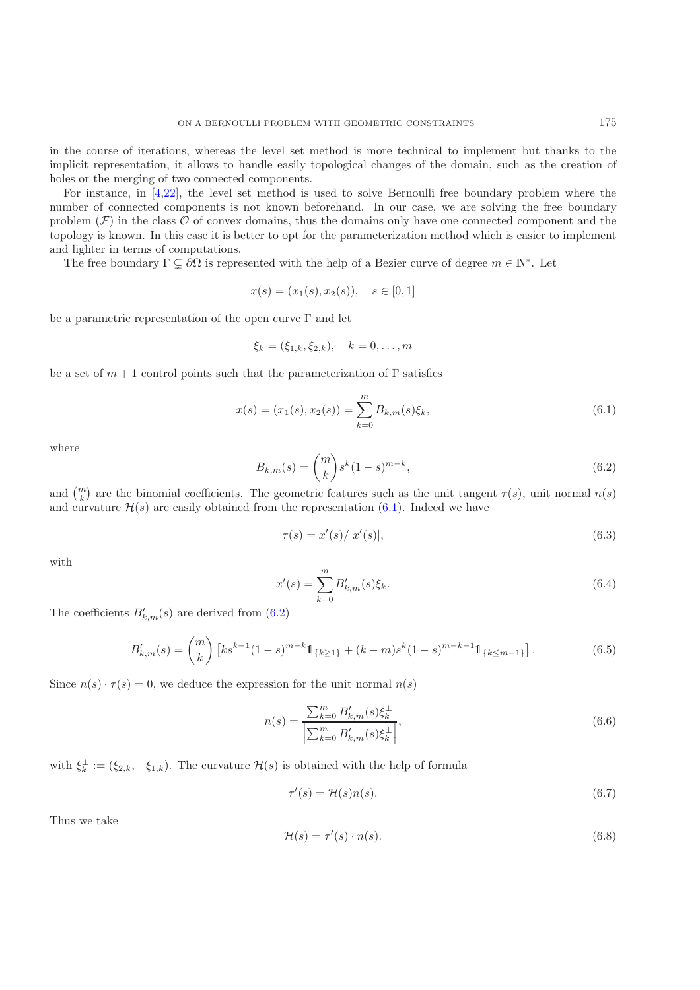in the course of iterations, whereas the level set method is more technical to implement but thanks to the implicit representation, it allows to handle easily topological changes of the domain, such as the creation of holes or the merging of two connected components.

For instance, in [\[4](#page-23-9)[,22](#page-23-13)], the level set method is used to solve Bernoulli free boundary problem where the number of connected components is not known beforehand. In our case, we are solving the free boundary problem  $(F)$  in the class  $O$  of convex domains, thus the domains only have one connected component and the topology is known. In this case it is better to opt for the parameterization method which is easier to implement and lighter in terms of computations.

The free boundary  $\Gamma \subsetneq \partial\Omega$  is represented with the help of a Bezier curve of degree  $m \in \mathbb{N}^*$ . Let

$$
x(s) = (x_1(s), x_2(s)), \quad s \in [0, 1]
$$

be a parametric representation of the open curve  $\Gamma$  and let

$$
\xi_k = (\xi_{1,k}, \xi_{2,k}), \quad k = 0, \dots, m
$$

be a set of  $m + 1$  control points such that the parameterization of  $\Gamma$  satisfies

<span id="page-18-0"></span>
$$
x(s) = (x_1(s), x_2(s)) = \sum_{k=0}^{m} B_{k,m}(s)\xi_k,
$$
\n(6.1)

where

<span id="page-18-1"></span>
$$
B_{k,m}(s) = \binom{m}{k} s^k (1-s)^{m-k},\tag{6.2}
$$

and  $\binom{m}{k}$  are the binomial coefficients. The geometric features such as the unit tangent  $\tau(s)$ , unit normal  $n(s)$ and curvature  $\mathcal{H}(s)$  are easily obtained from the representation  $(6.1)$ . Indeed we have

<span id="page-18-2"></span>
$$
\tau(s) = x'(s) / |x'(s)|,\tag{6.3}
$$

with

$$
x'(s) = \sum_{k=0}^{m} B'_{k,m}(s)\xi_k.
$$
\n(6.4)

The coefficients  $B'_{k,m}(s)$  are derived from  $(6.2)$ 

<span id="page-18-3"></span>
$$
B'_{k,m}(s) = {m \choose k} \left[ k s^{k-1} (1-s)^{m-k} 1\!\!1_{\{k \ge 1\}} + (k-m) s^k (1-s)^{m-k-1} 1\!\!1_{\{k \le m-1\}} \right].
$$
 (6.5)

<span id="page-18-4"></span>Since  $n(s) \cdot \tau(s) = 0$ , we deduce the expression for the unit normal  $n(s)$ 

<span id="page-18-6"></span>
$$
n(s) = \frac{\sum_{k=0}^{m} B'_{k,m}(s)\xi_k^{\perp}}{\left|\sum_{k=0}^{m} B'_{k,m}(s)\xi_k^{\perp}\right|},\tag{6.6}
$$

with  $\xi_k^{\perp} := (\xi_{2,k}, -\xi_{1,k})$ . The curvature  $\mathcal{H}(s)$  is obtained with the help of formula

$$
\tau'(s) = \mathcal{H}(s)n(s). \tag{6.7}
$$

<span id="page-18-5"></span>Thus we take

<span id="page-18-7"></span>
$$
\mathcal{H}(s) = \tau'(s) \cdot n(s). \tag{6.8}
$$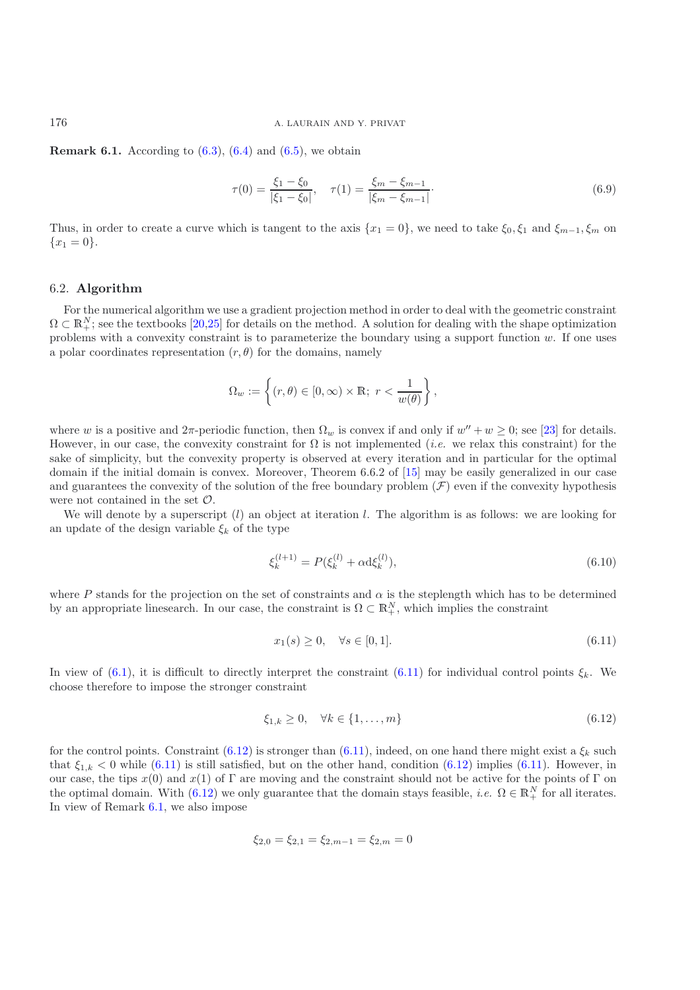**Remark 6.1.** According to [\(6.3\)](#page-18-2), [\(6.4\)](#page-18-3) and [\(6.5\)](#page-18-4), we obtain

$$
\tau(0) = \frac{\xi_1 - \xi_0}{|\xi_1 - \xi_0|}, \quad \tau(1) = \frac{\xi_m - \xi_{m-1}}{|\xi_m - \xi_{m-1}|}.
$$
\n(6.9)

Thus, in order to create a curve which is tangent to the axis  $\{x_1 = 0\}$ , we need to take  $\xi_0, \xi_1$  and  $\xi_{m-1}, \xi_m$  on  ${x_1 = 0}.$ 

## 6.2. **Algorithm**

For the numerical algorithm we use a gradient projection method in order to deal with the geometric constraint  $\Omega \subset \mathbb{R}^N_+$ ; see the textbooks  $[20,25]$  $[20,25]$  for details on the method. A solution for dealing with the shape optimization problems with a convexity constraint is to parameterize the boundary using a support function  $w$ . If one uses a polar coordinates representation  $(r, \theta)$  for the domains, namely

$$
\Omega_w:=\left\{(r,\theta)\in [0,\infty)\times \mathbb{R};\ r<\frac{1}{w(\theta)}\right\},
$$

where w is a positive and  $2\pi$ -periodic function, then  $\Omega_w$  is convex if and only if  $w'' + w \ge 0$ ; see [\[23](#page-23-25)] for details. However, in our case, the convexity constraint for  $\Omega$  is not implemented *(i.e.* we relax this constraint) for the sake of simplicity, but the convexity property is observed at every iteration and in particular for the optimal domain if the initial domain is convex. Moreover, Theorem 6.6.2 of [\[15\]](#page-23-18) may be easily generalized in our case and guarantees the convexity of the solution of the free boundary problem  $(F)$  even if the convexity hypothesis were not contained in the set  $\mathcal{O}$ .

We will denote by a superscript  $(l)$  an object at iteration l. The algorithm is as follows: we are looking for an update of the design variable  $\xi_k$  of the type

$$
\xi_k^{(l+1)} = P(\xi_k^{(l)} + \alpha \mathrm{d} \xi_k^{(l)}),\tag{6.10}
$$

where P stands for the projection on the set of constraints and  $\alpha$  is the steplength which has to be determined by an appropriate linesearch. In our case, the constraint is  $\Omega \subset \mathbb{R}^N_+$ , which implies the constraint

<span id="page-19-0"></span>
$$
x_1(s) \ge 0, \quad \forall s \in [0,1]. \tag{6.11}
$$

In view of [\(6.1\)](#page-18-0), it is difficult to directly interpret the constraint [\(6.11\)](#page-19-0) for individual control points  $\xi_k$ . We choose therefore to impose the stronger constraint

<span id="page-19-1"></span>
$$
\xi_{1,k} \ge 0, \quad \forall k \in \{1, \dots, m\} \tag{6.12}
$$

for the control points. Constraint [\(6.12\)](#page-19-1) is stronger than [\(6.11\)](#page-19-0), indeed, on one hand there might exist a  $\xi_k$  such that  $\xi_{1,k} < 0$  while [\(6.11\)](#page-19-0) is still satisfied, but on the other hand, condition [\(6.12\)](#page-19-1) implies (6.11). However, in our case, the tips  $x(0)$  and  $x(1)$  of Γ are moving and the constraint should not be active for the points of Γ on the optimal domain. With [\(6.12\)](#page-19-1) we only guarantee that the domain stays feasible, *i.e.*  $\Omega \in \mathbb{R}^N_+$  for all iterates. In view of Remark [6.1,](#page-18-5) we also impose

$$
\xi_{2,0} = \xi_{2,1} = \xi_{2,m-1} = \xi_{2,m} = 0
$$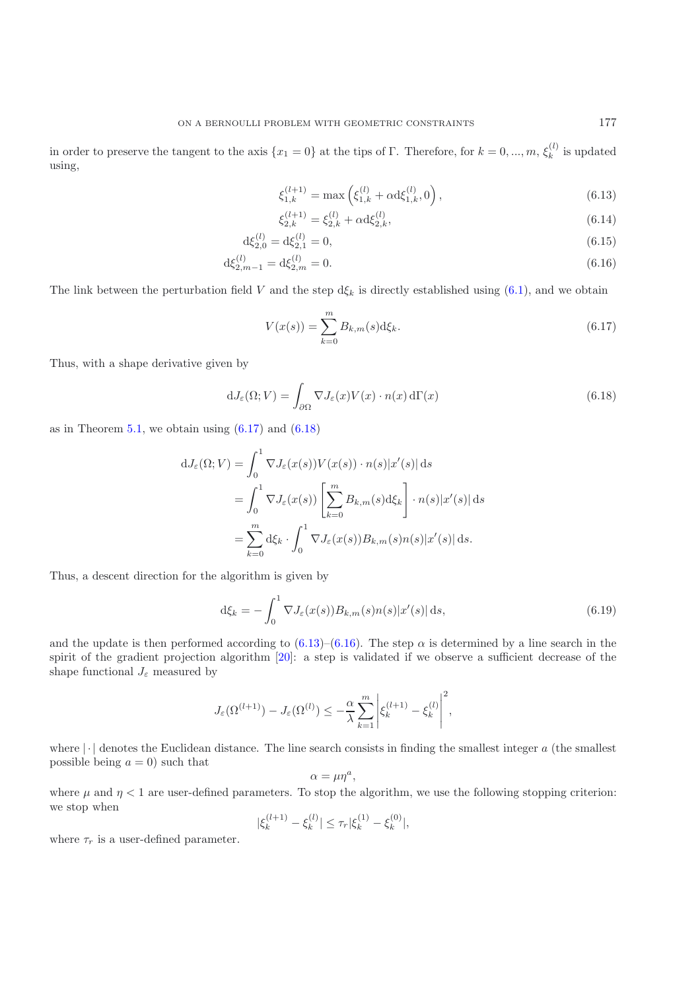in order to preserve the tangent to the axis  $\{x_1 = 0\}$  at the tips of  $\Gamma$ . Therefore, for  $k = 0, ..., m, \xi_k^{(l)}$  is updated using,

<span id="page-20-3"></span><span id="page-20-2"></span>
$$
\xi_{1,k}^{(l+1)} = \max\left(\xi_{1,k}^{(l)} + \alpha \mathrm{d} \xi_{1,k}^{(l)}, 0\right),\tag{6.13}
$$

$$
\xi_{2,k}^{(l+1)} = \xi_{2,k}^{(l)} + \alpha \mathrm{d} \xi_{2,k}^{(l)},\tag{6.14}
$$

$$
d\xi_{2,0}^{(l)} = d\xi_{2,1}^{(l)} = 0,\t\t(6.15)
$$

$$
d\xi_{2,m-1}^{(l)} = d\xi_{2,m}^{(l)} = 0.
$$
\n(6.16)

The link between the perturbation field V and the step  $d\xi_k$  is directly established using [\(6.1\)](#page-18-0), and we obtain

$$
V(x(s)) = \sum_{k=0}^{m} B_{k,m}(s) d\xi_k.
$$
 (6.17)

Thus, with a shape derivative given by

<span id="page-20-0"></span>
$$
dJ_{\varepsilon}(\Omega;V) = \int_{\partial\Omega} \nabla J_{\varepsilon}(x)V(x) \cdot n(x) d\Gamma(x)
$$
\n(6.18)

as in Theorem [5.1,](#page-15-2) we obtain using  $(6.17)$  and  $(6.18)$ 

<span id="page-20-1"></span>
$$
dJ_{\varepsilon}(\Omega; V) = \int_0^1 \nabla J_{\varepsilon}(x(s)) V(x(s)) \cdot n(s) |x'(s)| ds
$$
  
= 
$$
\int_0^1 \nabla J_{\varepsilon}(x(s)) \left[ \sum_{k=0}^m B_{k,m}(s) d\xi_k \right] \cdot n(s) |x'(s)| ds
$$
  
= 
$$
\sum_{k=0}^m d\xi_k \cdot \int_0^1 \nabla J_{\varepsilon}(x(s)) B_{k,m}(s) n(s) |x'(s)| ds.
$$

Thus, a descent direction for the algorithm is given by

$$
\mathrm{d}\xi_k = -\int_0^1 \nabla J_\varepsilon(x(s)) B_{k,m}(s) n(s) |x'(s)| \, \mathrm{d}s,\tag{6.19}
$$

and the update is then performed according to  $(6.13)-(6.16)$  $(6.13)-(6.16)$  $(6.13)-(6.16)$ . The step  $\alpha$  is determined by a line search in the spirit of the gradient projection algorithm [\[20\]](#page-23-16): a step is validated if we observe a sufficient decrease of the shape functional  $J_{\varepsilon}$  measured by

$$
J_{\varepsilon}(\Omega^{(l+1)}) - J_{\varepsilon}(\Omega^{(l)}) \leq -\frac{\alpha}{\lambda} \sum_{k=1}^{m} \left| \xi_k^{(l+1)} - \xi_k^{(l)} \right|^2,
$$

where  $\lvert \cdot \rvert$  denotes the Euclidean distance. The line search consists in finding the smallest integer a (the smallest possible being  $a = 0$ ) such that

$$
\alpha = \mu \eta^a,
$$

where  $\mu$  and  $\eta < 1$  are user-defined parameters. To stop the algorithm, we use the following stopping criterion: we stop when

$$
|\xi_k^{(l+1)} - \xi_k^{(l)}| \le \tau_r |\xi_k^{(1)} - \xi_k^{(0)}|,
$$

where  $\tau_r$  is a user-defined parameter.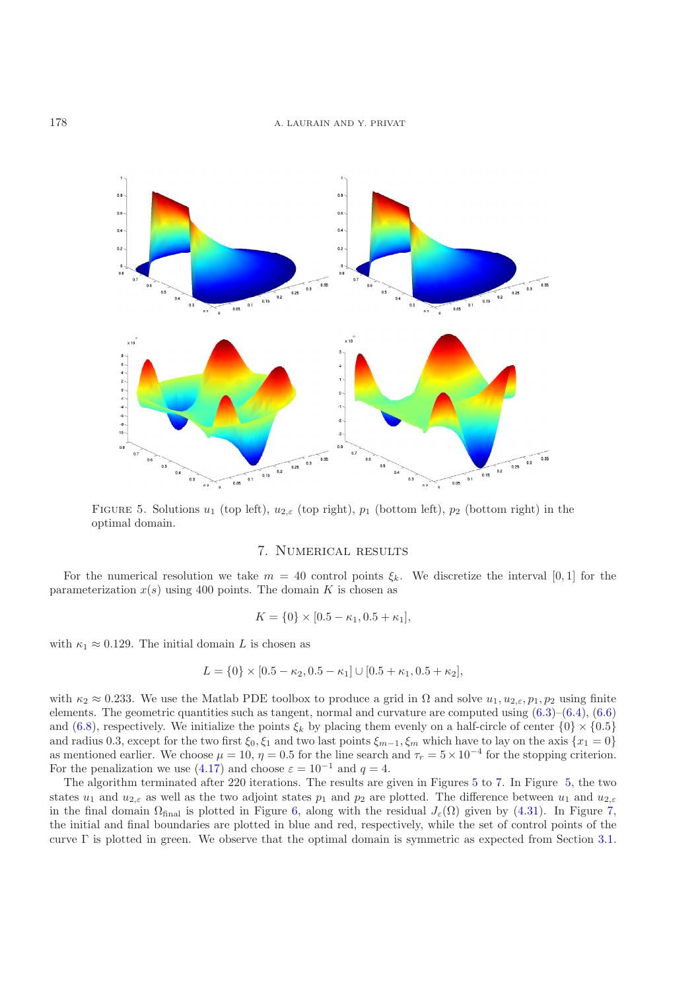

<span id="page-21-1"></span>FIGURE 5. Solutions  $u_1$  (top left),  $u_{2,\varepsilon}$  (top right),  $p_1$  (bottom left),  $p_2$  (bottom right) in the optimal domain.

# 7. Numerical results

<span id="page-21-0"></span>For the numerical resolution we take  $m = 40$  control points  $\xi_k$ . We discretize the interval [0, 1] for the parameterization  $x(s)$  using 400 points. The domain K is chosen as

$$
K = \{0\} \times [0.5 - \kappa_1, 0.5 + \kappa_1],
$$

with  $\kappa_1 \approx 0.129$ . The initial domain L is chosen as

$$
L = \{0\} \times [0.5 - \kappa_2, 0.5 - \kappa_1] \cup [0.5 + \kappa_1, 0.5 + \kappa_2],
$$

with  $\kappa_2 \approx 0.233$ . We use the Matlab PDE toolbox to produce a grid in  $\Omega$  and solve  $u_1, u_{2,\varepsilon}, p_1, p_2$  using finite elements. The geometric quantities such as tangent, normal and curvature are computed using [\(6.3\)](#page-18-2)–[\(6.4\)](#page-18-3), [\(6.6\)](#page-18-6) and [\(6.8\)](#page-18-7), respectively. We initialize the points  $\xi_k$  by placing them evenly on a half-circle of center  $\{0\} \times \{0.5\}$ and radius 0.3, except for the two first  $\xi_0$ ,  $\xi_1$  and two last points  $\xi_{m-1}$ ,  $\xi_m$  which have to lay on the axis  $\{x_1 = 0\}$ as mentioned earlier. We choose  $\mu = 10$ ,  $\eta = 0.5$  for the line search and  $\tau_r = 5 \times 10^{-4}$  for the stopping criterion. For the penalization we use [\(4.17\)](#page-12-4) and choose  $\varepsilon = 10^{-1}$  and  $q = 4$ .

The algorithm terminated after 220 iterations. The results are given in Figures [5](#page-21-1) to [7.](#page-22-0) In Figure [5,](#page-21-1) the two states  $u_1$  and  $u_{2,\varepsilon}$  as well as the two adjoint states  $p_1$  and  $p_2$  are plotted. The difference between  $u_1$  and  $u_{2,\varepsilon}$ in the final domain  $\Omega_{\text{final}}$  is plotted in Figure [6,](#page-22-1) along with the residual  $J_{\varepsilon}(\Omega)$  given by [\(4.31\)](#page-15-5). In Figure [7,](#page-22-0) the initial and final boundaries are plotted in blue and red, respectively, while the set of control points of the curve  $\Gamma$  is plotted in green. We observe that the optimal domain is symmetric as expected from Section [3.1.](#page-4-1)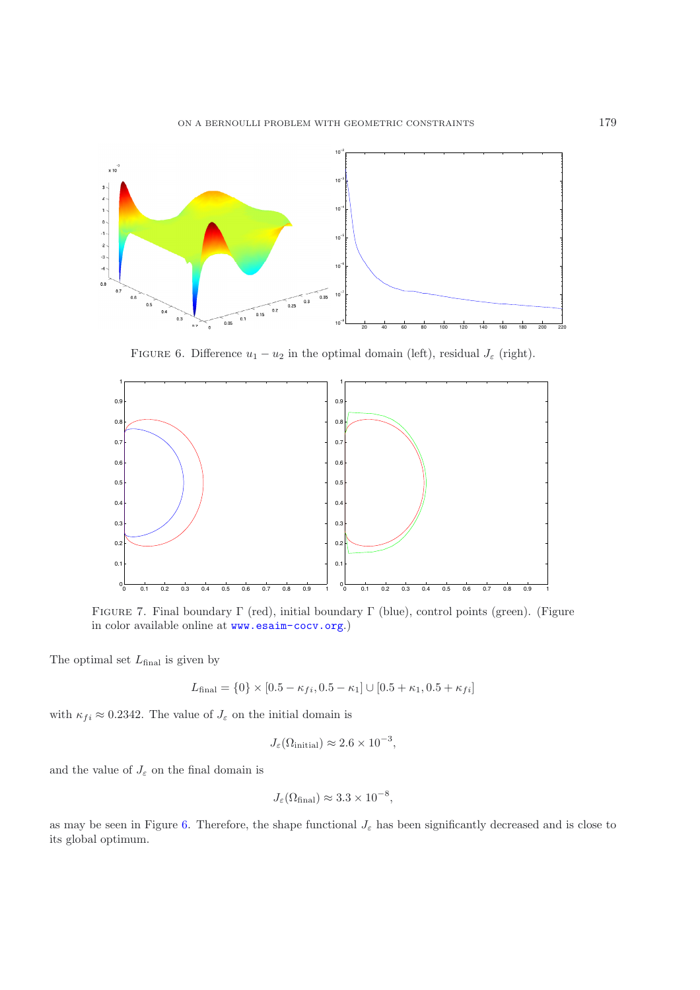

FIGURE 6. Difference  $u_1 - u_2$  in the optimal domain (left), residual  $J_{\varepsilon}$  (right).

<span id="page-22-1"></span>

<span id="page-22-0"></span>Figure 7. Final boundary Γ (red), initial boundary Γ (blue), control points (green). (Figure in color available online at <www.esaim-cocv.org>.)

The optimal set  $L_{\text{final}}$  is given by

$$
L_{\text{final}} = \{0\} \times [0.5 - \kappa_{fi}, 0.5 - \kappa_1] \cup [0.5 + \kappa_1, 0.5 + \kappa_{fi}]
$$

with  $\kappa_{fi} \approx 0.2342$ . The value of  $J_{\varepsilon}$  on the initial domain is

$$
J_{\varepsilon}(\Omega_{\text{initial}}) \approx 2.6 \times 10^{-3},
$$

and the value of  $J_\varepsilon$  on the final domain is

$$
J_{\varepsilon}(\Omega_{\text{final}}) \approx 3.3 \times 10^{-8},
$$

as may be seen in Figure [6.](#page-22-1) Therefore, the shape functional  $J_{\varepsilon}$  has been significantly decreased and is close to its global optimum.